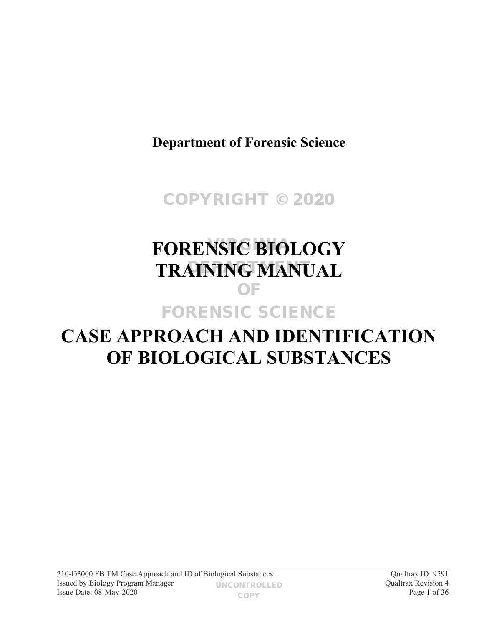**Department of Forensic Science**

COPYRIGHT © 2020

# **FORENSIC BIOLOGY TRAINING MANUAL** OF FORENSIC SCIENCE

# **CASE APPROACH AND IDENTIFICATION OF BIOLOGICAL SUBSTANCES**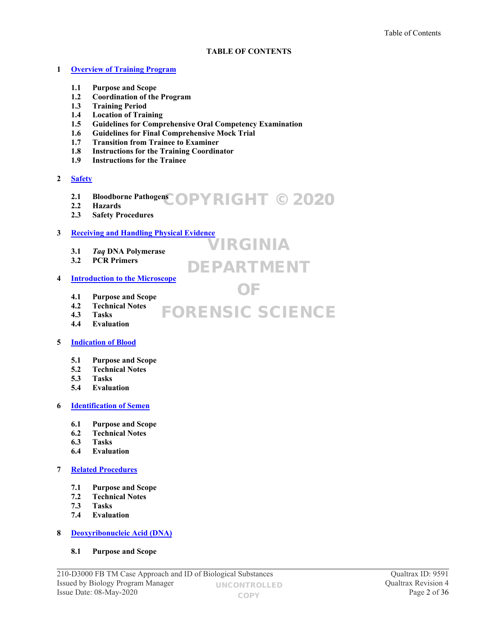#### **TABLE OF CONTENTS**

VIRGINIA

DEPARTMENT

OF

#### **1 [Overview of Training Program](#page-3-0)**

- **1.1 Purpose and Scope**
- **1.2 Coordination of the Program**
- **1.3 Training Period**
- **1.4 Location of Training**
- **1.5 Guidelines for Comprehensive Oral Competency Examination**
- **1.6 Guidelines for Final Comprehensive Mock Trial**
- **1.7 Transition from Trainee to Examiner**
- **1.8 Instructions for the Training Coordinator**
- **1.9 Instructions for the Trainee**
- **2 [Safety](#page-7-0)**
	- **2.1 Bloodborne Pathogens** COPYRIGHT © 2020
	- **2.2 Hazards**
	- **2.3 Safety Procedures**

#### **3 [Receiving and Handling Physical Evidence](#page-8-0)**

- **3.1** *Taq* **DNA Polymerase**
- **3.2 PCR Primers**

#### **4 [Introduction to the Microscope](#page-10-0)**

- **4.1 Purpose and Scope**
- **4.2 Technical Notes 4.3 Tasks** FORENSIC SCIENCE
- **4.4 Evaluation**

#### **5 [Indication of Blood](#page-12-0)**

- **5.1 Purpose and Scope**
- **5.2 Technical Notes**
- **5.3 Tasks**
- **5.4 Evaluation**

#### **6 [Identification of Semen](#page-15-0)**

- **6.1 Purpose and Scope**
- **6.2 Technical Notes**
- **6.3 Tasks**
- **6.4 Evaluation**
- **7 [Related Procedures](#page-18-0)**
	- **7.1 Purpose and Scope**
	- **7.2 Technical Notes**
	- **7.3 Tasks**
	- **7.4 Evaluation**

#### **8 [Deoxyribonucleic Acid \(DNA\)](#page-20-0)**

#### **8.1 Purpose and Scope**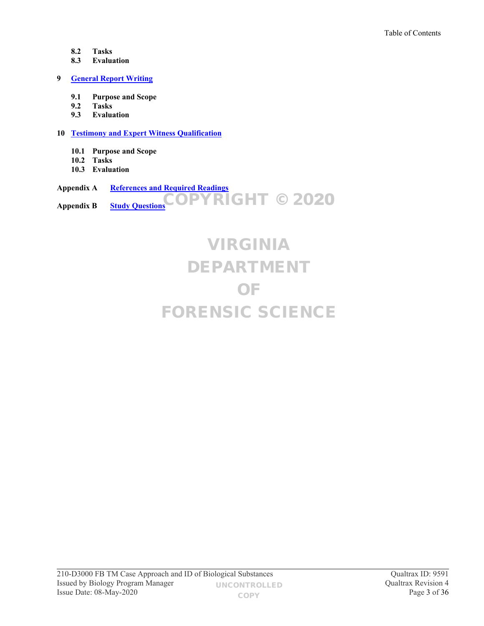- **8.2 Tasks**
- **8.3 Evaluation**

#### **9 [General Report Writing](#page-21-0)**

- **9.1 Purpose and Scope**
- **9.2 Tasks**
- **9.3 Evaluation**

#### **10 [Testimony and Expert Witness Qualification](#page-22-0)**

- **10.1 Purpose and Scope**
- **10.2 Tasks**
- **10.3 Evaluation**

#### **Appendix A [References and Required Readings](#page-23-0) Appendix B [Study Questions](#page-30-0)** COPYRIGHT © 2020

# VIRGINIA DEPARTMENT OF FORENSIC SCIENCE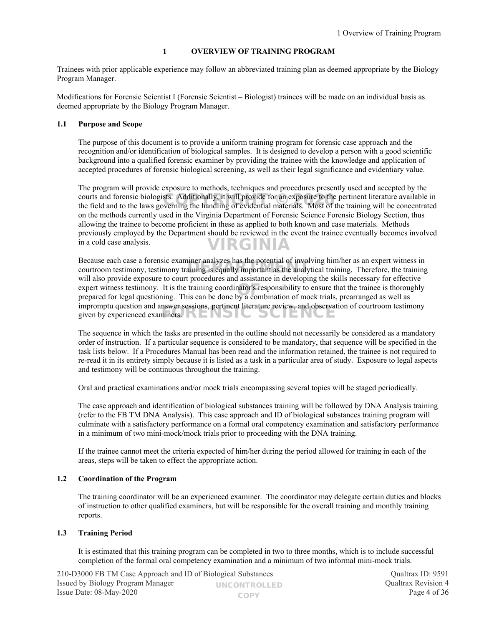#### <span id="page-3-0"></span>**1 OVERVIEW OF TRAINING PROGRAM**

Trainees with prior applicable experience may follow an abbreviated training plan as deemed appropriate by the Biology Program Manager.

Modifications for Forensic Scientist I (Forensic Scientist – Biologist) trainees will be made on an individual basis as deemed appropriate by the Biology Program Manager.

#### **1.1 Purpose and Scope**

The purpose of this document is to provide a uniform training program for forensic case approach and the recognition and/or identification of biological samples. It is designed to develop a person with a good scientific background into a qualified forensic examiner by providing the trainee with the knowledge and application of accepted procedures of forensic biological screening, as well as their legal significance and evidentiary value.

The program will provide exposure to methods, techniques and procedures presently used and accepted by the courts and forensic biologists. Additionally, it will provide for an exposure to the pertinent literature available in courts and forensic biologists. Additionally, it will provide for an exposure to the pertinent literature available in<br>the field and to the laws governing the handling of evidential materials. Most of the training will be on the methods currently used in the Virginia Department of Forensic Science Forensic Biology Section, thus allowing the trainee to become proficient in these as applied to both known and case materials. Methods previously employed by the Department should be reviewed in the event the trainee eventually becomes involved in a cold case analysis. VIRGINIA

Because each case a forensic examiner analyzes has the potential of involving him/her as an expert witness in Because each case a forensic examiner analyzes has the potential of involving infibile as an expert whiless in<br>courtroom testimony, testimony training is equally important as the analytical training. Therefore, the trainin will also provide exposure to court procedures and assistance in developing the skills necessary for effective expert witness testimony. It is the training coordinator's responsibility to ensure that the trainee is thoroughly prepared for legal questioning. This can be done by a combination of mock trials, prearranged as well as prepared for legal questioning. This can be done by a combination of mock trials, prearranged as well as impromptu question and answer sessions, pertinent literature review, and observation of courtroom testimony Impromptu question and answer sessions, pertinent interature review, and observative by experienced examiners.

The sequence in which the tasks are presented in the outline should not necessarily be considered as a mandatory order of instruction. If a particular sequence is considered to be mandatory, that sequence will be specified in the task lists below. If a Procedures Manual has been read and the information retained, the trainee is not required to re-read it in its entirety simply because it is listed as a task in a particular area of study. Exposure to legal aspects and testimony will be continuous throughout the training.

Oral and practical examinations and/or mock trials encompassing several topics will be staged periodically.

The case approach and identification of biological substances training will be followed by DNA Analysis training (refer to the FB TM DNA Analysis). This case approach and ID of biological substances training program will culminate with a satisfactory performance on a formal oral competency examination and satisfactory performance in a minimum of two mini-mock/mock trials prior to proceeding with the DNA training.

If the trainee cannot meet the criteria expected of him/her during the period allowed for training in each of the areas, steps will be taken to effect the appropriate action.

#### **1.2 Coordination of the Program**

The training coordinator will be an experienced examiner. The coordinator may delegate certain duties and blocks of instruction to other qualified examiners, but will be responsible for the overall training and monthly training reports.

#### **1.3 Training Period**

It is estimated that this training program can be completed in two to three months, which is to include successful completion of the formal oral competency examination and a minimum of two informal mini-mock trials.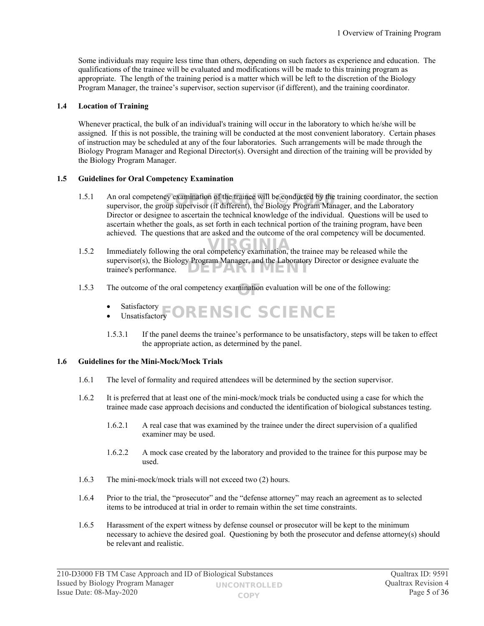Some individuals may require less time than others, depending on such factors as experience and education. The qualifications of the trainee will be evaluated and modifications will be made to this training program as appropriate. The length of the training period is a matter which will be left to the discretion of the Biology Program Manager, the trainee's supervisor, section supervisor (if different), and the training coordinator.

#### **1.4 Location of Training**

Whenever practical, the bulk of an individual's training will occur in the laboratory to which he/she will be assigned. If this is not possible, the training will be conducted at the most convenient laboratory. Certain phases of instruction may be scheduled at any of the four laboratories. Such arrangements will be made through the Biology Program Manager and Regional Director(s). Oversight and direction of the training will be provided by the Biology Program Manager.

#### **1.5 Guidelines for Oral Competency Examination**

- 1.5.1 An oral competency examination of the trainee will be conducted by the training coordinator, the section An oral competency examination of the trainee will be conducted by the training coordinator, the supervisor, the group supervisor (if different), the Biology Program Manager, and the Laboratory Director or designee to ascertain the technical knowledge of the individual. Questions will be used to ascertain whether the goals, as set forth in each technical portion of the training program, have been achieved. The questions that are asked and the outcome of the oral competency will be documented.
- 1.5.2 Immediately following the oral competency examination, the trainee may be released while the supervisor(s), the Biology Program Manager, and the Laboratory Director or designee evaluate the trainee's performance. DEPARTMEI
- 1.5.3 The outcome of the oral competency examination evaluation will be one of the following:
	- Satisfactory **SAUSTACTORY CORENSIC SCIENCE**
	- 1.5.3.1 If the panel deems the trainee's performance to be unsatisfactory, steps will be taken to effect the appropriate action, as determined by the panel.

#### **1.6 Guidelines for the Mini-Mock/Mock Trials**

- 1.6.1 The level of formality and required attendees will be determined by the section supervisor.
- 1.6.2 It is preferred that at least one of the mini-mock/mock trials be conducted using a case for which the trainee made case approach decisions and conducted the identification of biological substances testing.
	- 1.6.2.1 A real case that was examined by the trainee under the direct supervision of a qualified examiner may be used.
	- 1.6.2.2 A mock case created by the laboratory and provided to the trainee for this purpose may be used.
- 1.6.3 The mini-mock/mock trials will not exceed two (2) hours.
- 1.6.4 Prior to the trial, the "prosecutor" and the "defense attorney" may reach an agreement as to selected items to be introduced at trial in order to remain within the set time constraints.
- 1.6.5 Harassment of the expert witness by defense counsel or prosecutor will be kept to the minimum necessary to achieve the desired goal. Questioning by both the prosecutor and defense attorney(s) should be relevant and realistic.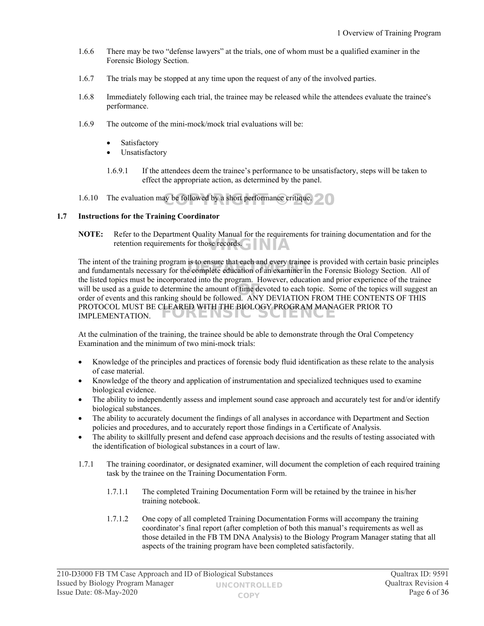- 1.6.6 There may be two "defense lawyers" at the trials, one of whom must be a qualified examiner in the Forensic Biology Section.
- 1.6.7 The trials may be stopped at any time upon the request of any of the involved parties.
- 1.6.8 Immediately following each trial, the trainee may be released while the attendees evaluate the trainee's performance.
- 1.6.9 The outcome of the mini-mock/mock trial evaluations will be:
	- Satisfactory
	- Unsatisfactory
	- 1.6.9.1 If the attendees deem the trainee's performance to be unsatisfactory, steps will be taken to effect the appropriate action, as determined by the panel.

1.6.10 The evaluation may be followed by a short performance critique.

#### **1.7 Instructions for the Training Coordinator**

**NOTE:** Refer to the Department Quality Manual for the requirements for training documentation and for the retention requirements for those records.

The intent of the training program is to ensure that each and every trainee is provided with certain basic principles Ine intent of the training program is to ensure that each and every trainee is provided with certain basic principl<br>and fundamentals necessary for the complete education of an examiner in the Forensic Biology Section. All the listed topics must be incorporated into the program. However, education and prior experience of the trainee will be used as a guide to determine the amount of time devoted to each topic. Some of the topics will suggest an order of events and this ranking should be followed. ANY DEVIATION EROM THE CONTENTS OF THIS order of events and this ranking should be followed. ANY DEVIATION FROM THE CONTENTS OF THIS PROTOCOL MUST BE CLEARED WITH THE BIOLOGY PROGRAM MANAGER PRIOR TO IMPLEMENTATION. IMPLEMENTATION.

At the culmination of the training, the trainee should be able to demonstrate through the Oral Competency Examination and the minimum of two mini-mock trials:

- Knowledge of the principles and practices of forensic body fluid identification as these relate to the analysis of case material.
- Knowledge of the theory and application of instrumentation and specialized techniques used to examine biological evidence.
- The ability to independently assess and implement sound case approach and accurately test for and/or identify biological substances.
- The ability to accurately document the findings of all analyses in accordance with Department and Section policies and procedures, and to accurately report those findings in a Certificate of Analysis.
- The ability to skillfully present and defend case approach decisions and the results of testing associated with the identification of biological substances in a court of law.
- 1.7.1 The training coordinator, or designated examiner, will document the completion of each required training task by the trainee on the Training Documentation Form.
	- 1.7.1.1 The completed Training Documentation Form will be retained by the trainee in his/her training notebook.
	- 1.7.1.2 One copy of all completed Training Documentation Forms will accompany the training coordinator's final report (after completion of both this manual's requirements as well as those detailed in the FB TM DNA Analysis) to the Biology Program Manager stating that all aspects of the training program have been completed satisfactorily.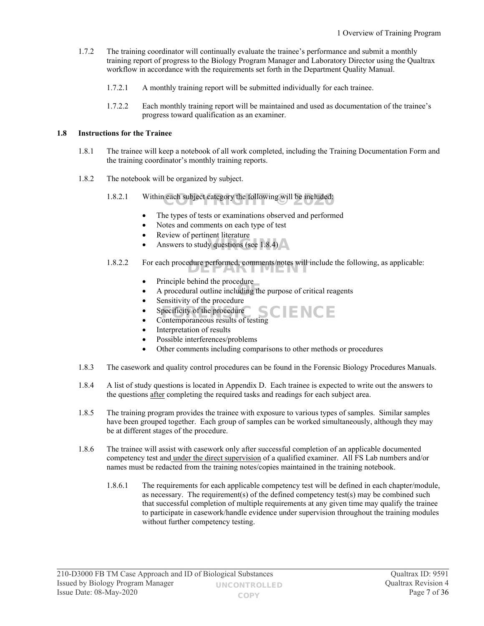- 1.7.2 The training coordinator will continually evaluate the trainee's performance and submit a monthly training report of progress to the Biology Program Manager and Laboratory Director using the Qualtrax workflow in accordance with the requirements set forth in the Department Quality Manual.
	- 1.7.2.1 A monthly training report will be submitted individually for each trainee.
	- 1.7.2.2 Each monthly training report will be maintained and used as documentation of the trainee's progress toward qualification as an examiner.

#### **1.8 Instructions for the Trainee**

- 1.8.1 The trainee will keep a notebook of all work completed, including the Training Documentation Form and the training coordinator's monthly training reports.
- 1.8.2 The notebook will be organized by subject.
	- 1.8.2.1 Within each subject category the following will be included:
		- The types of tests or examinations observed and performed
		- Notes and comments on each type of test
		- Review of pertinent literature
		- Answers to study questions (see 1.8.4)
	- 1.8.2.2 For each procedure performed, comments/notes will include the following, as applicable:
		- Principle behind the procedure
		- A procedural outline including the purpose of critical reagents
		- Sensitivity of the procedure
		- Specificity of the procedure Specificity of the procedure<br>
		Contemporaneous results of testing<br>  $\begin{array}{c} \bullet \\ \bullet \end{array}$  Contemporaneous results of testing
		-
		- Interpretation of results
		- Possible interferences/problems
		- Other comments including comparisons to other methods or procedures
- 1.8.3 The casework and quality control procedures can be found in the Forensic Biology Procedures Manuals.
- 1.8.4 A list of study questions is located in Appendix D. Each trainee is expected to write out the answers to the questions after completing the required tasks and readings for each subject area.
- 1.8.5 The training program provides the trainee with exposure to various types of samples. Similar samples have been grouped together. Each group of samples can be worked simultaneously, although they may be at different stages of the procedure.
- 1.8.6 The trainee will assist with casework only after successful completion of an applicable documented competency test and under the direct supervision of a qualified examiner. All FS Lab numbers and/or names must be redacted from the training notes/copies maintained in the training notebook.
	- 1.8.6.1 The requirements for each applicable competency test will be defined in each chapter/module, as necessary. The requirement(s) of the defined competency test(s) may be combined such that successful completion of multiple requirements at any given time may qualify the trainee to participate in casework/handle evidence under supervision throughout the training modules without further competency testing.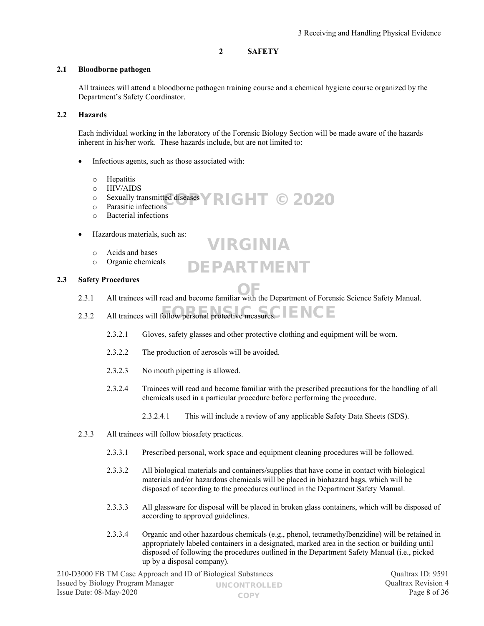#### <span id="page-7-0"></span>**2 SAFETY**

#### **2.1 Bloodborne pathogen**

All trainees will attend a bloodborne pathogen training course and a chemical hygiene course organized by the Department's Safety Coordinator.

#### **2.2 Hazards**

Each individual working in the laboratory of the Forensic Biology Section will be made aware of the hazards inherent in his/her work. These hazards include, but are not limited to:

- Infectious agents, such as those associated with:
	- o Hepatitis
	- o HIV/AIDS
	- $\circ$  Sexually transmitted diseases  $\triangledown$  RIGHT © 2020
	- o Parasitic infections
	- o Bacterial infections
- Hazardous materials, such as:
	- o Acids and bases
	- o Organic chemicals

#### **2.3 Safety Procedures**

2.3.1 All trainees will read and become familiar with the Department of Forensic Science Safety Manual.

VIRGINIA

DEPARTMENT

- 2.3.2 All trainees will follow personal protective measures.  $F = NCE$ 
	- 2.3.2.1 Gloves, safety glasses and other protective clothing and equipment will be worn.
	- 2.3.2.2 The production of aerosols will be avoided.
	- 2.3.2.3 No mouth pipetting is allowed.
	- 2.3.2.4 Trainees will read and become familiar with the prescribed precautions for the handling of all chemicals used in a particular procedure before performing the procedure.
		- 2.3.2.4.1 This will include a review of any applicable Safety Data Sheets (SDS).
- 2.3.3 All trainees will follow biosafety practices.
	- 2.3.3.1 Prescribed personal, work space and equipment cleaning procedures will be followed.
	- 2.3.3.2 All biological materials and containers/supplies that have come in contact with biological materials and/or hazardous chemicals will be placed in biohazard bags, which will be disposed of according to the procedures outlined in the Department Safety Manual.
	- 2.3.3.3 All glassware for disposal will be placed in broken glass containers, which will be disposed of according to approved guidelines.
	- 2.3.3.4 Organic and other hazardous chemicals (e.g., phenol, tetramethylbenzidine) will be retained in appropriately labeled containers in a designated, marked area in the section or building until disposed of following the procedures outlined in the Department Safety Manual (i.e., picked up by a disposal company).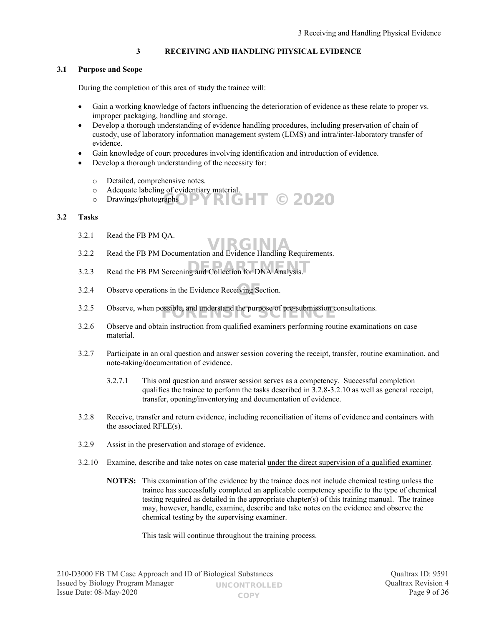#### <span id="page-8-0"></span>**3 RECEIVING AND HANDLING PHYSICAL EVIDENCE**

#### **3.1 Purpose and Scope**

During the completion of this area of study the trainee will:

- Gain a working knowledge of factors influencing the deterioration of evidence as these relate to proper vs. improper packaging, handling and storage.
- Develop a thorough understanding of evidence handling procedures, including preservation of chain of custody, use of laboratory information management system (LIMS) and intra/inter-laboratory transfer of evidence.
- Gain knowledge of court procedures involving identification and introduction of evidence.
- Develop a thorough understanding of the necessity for:
	- o Detailed, comprehensive notes.
	- o Adequate labeling of evidentiary material.
	- $\circ$  Drawings/photographs YRIGHT © 2020

#### **3.2 Tasks**

- 3.2.1 Read the FB PM QA.
- 3.2.2 Read the FB PM Documentation and Evidence Handling Requirements. VIRGINIA
- $3.2.3$  Read the FB PM Screening and Collection for DNA Analysis.
- 3.2.4 Observe operations in the Evidence Receiving Section.
- 3.2.5 Observe, when possible, and understand the purpose of pre-submission consultations.
- 3.2.6 Observe and obtain instruction from qualified examiners performing routine examinations on case material.
- 3.2.7 Participate in an oral question and answer session covering the receipt, transfer, routine examination, and note-taking/documentation of evidence.
	- 3.2.7.1 This oral question and answer session serves as a competency. Successful completion qualifies the trainee to perform the tasks described in 3.2.8-3.2.10 as well as general receipt, transfer, opening/inventorying and documentation of evidence.
- 3.2.8 Receive, transfer and return evidence, including reconciliation of items of evidence and containers with the associated RFLE(s).
- 3.2.9 Assist in the preservation and storage of evidence.
- 3.2.10 Examine, describe and take notes on case material under the direct supervision of a qualified examiner.
	- **NOTES:** This examination of the evidence by the trainee does not include chemical testing unless the trainee has successfully completed an applicable competency specific to the type of chemical testing required as detailed in the appropriate chapter(s) of this training manual. The trainee may, however, handle, examine, describe and take notes on the evidence and observe the chemical testing by the supervising examiner.

This task will continue throughout the training process.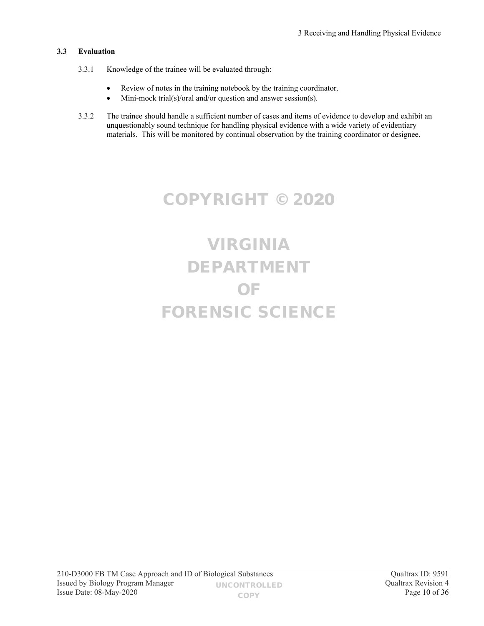### **3.3 Evaluation**

- 3.3.1 Knowledge of the trainee will be evaluated through:
	- Review of notes in the training notebook by the training coordinator.
	- Mini-mock trial(s)/oral and/or question and answer session(s).
- 3.3.2 The trainee should handle a sufficient number of cases and items of evidence to develop and exhibit an unquestionably sound technique for handling physical evidence with a wide variety of evidentiary materials. This will be monitored by continual observation by the training coordinator or designee.

### COPYRIGHT © 2020

# VIRGINIA DEPARTMENT OF FORENSIC SCIENCE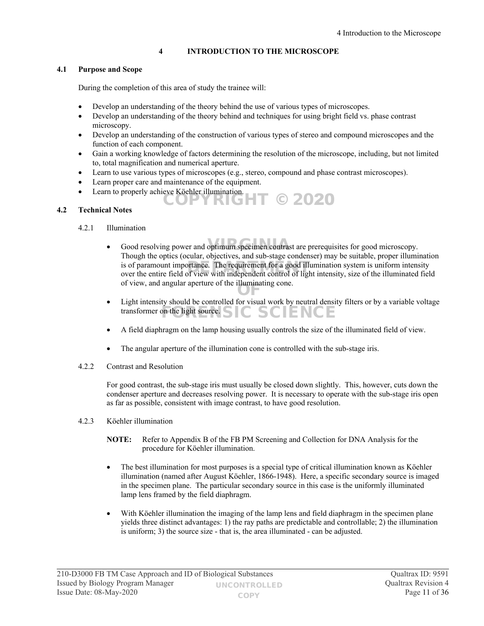#### <span id="page-10-0"></span>**4 INTRODUCTION TO THE MICROSCOPE**

#### **4.1 Purpose and Scope**

During the completion of this area of study the trainee will:

- Develop an understanding of the theory behind the use of various types of microscopes.
- Develop an understanding of the theory behind and techniques for using bright field vs. phase contrast microscopy.
- Develop an understanding of the construction of various types of stereo and compound microscopes and the function of each component.
- Gain a working knowledge of factors determining the resolution of the microscope, including, but not limited to, total magnification and numerical aperture.
- Learn to use various types of microscopes (e.g., stereo, compound and phase contrast microscopes).
- Learn proper care and maintenance of the equipment.
- Learn to properly achieve Köehler illumination. **RIGHT © 2020**

#### **4.2 Technical Notes**

#### 4.2.1 Illumination

- Good resolving power and optimum specimen contrast are prerequisites for good microscopy. Though the optics (ocular, objectives, and sub-stage condenser) may be suitable, proper illumination is of paramount importance. The requirement for a good illumination system is uniform intensity<br>over the entire field of view with independent control of light intensity, size of the illuminated fiel over the entire field of view with independent control of light intensity, size of the illuminated field of view, and angular aperture of the illuminating cone.
- Light intensity should be controlled for visual work by neutral density filters or by a variable voltage transformer on the light source.  $SIC$   $SCIENCE$
- A field diaphragm on the lamp housing usually controls the size of the illuminated field of view.
- The angular aperture of the illumination cone is controlled with the sub-stage iris.
- 4.2.2 Contrast and Resolution

For good contrast, the sub-stage iris must usually be closed down slightly. This, however, cuts down the condenser aperture and decreases resolving power. It is necessary to operate with the sub-stage iris open as far as possible, consistent with image contrast, to have good resolution.

- 4.2.3 Köehler illumination
	- **NOTE:** Refer to Appendix B of the FB PM Screening and Collection for DNA Analysis for the procedure for Köehler illumination.
	- The best illumination for most purposes is a special type of critical illumination known as Köehler illumination (named after August Köehler, 1866-1948). Here, a specific secondary source is imaged in the specimen plane. The particular secondary source in this case is the uniformly illuminated lamp lens framed by the field diaphragm.
	- With Köehler illumination the imaging of the lamp lens and field diaphragm in the specimen plane yields three distinct advantages: 1) the ray paths are predictable and controllable; 2) the illumination is uniform; 3) the source size - that is, the area illuminated - can be adjusted.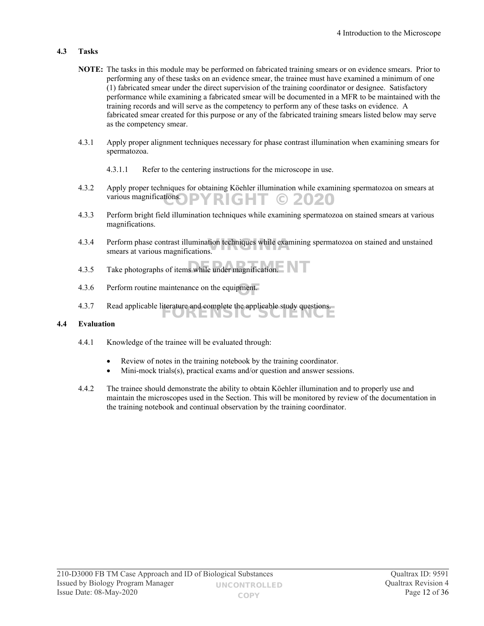#### **4.3 Tasks**

- **NOTE:** The tasks in this module may be performed on fabricated training smears or on evidence smears. Prior to performing any of these tasks on an evidence smear, the trainee must have examined a minimum of one (1) fabricated smear under the direct supervision of the training coordinator or designee. Satisfactory performance while examining a fabricated smear will be documented in a MFR to be maintained with the training records and will serve as the competency to perform any of these tasks on evidence. A fabricated smear created for this purpose or any of the fabricated training smears listed below may serve as the competency smear.
- 4.3.1 Apply proper alignment techniques necessary for phase contrast illumination when examining smears for spermatozoa.
	- 4.3.1.1 Refer to the centering instructions for the microscope in use.
- 4.3.2 Apply proper techniques for obtaining Köehler illumination while examining spermatozoa on smears at various magnifications. RIGHT © 2020
- 4.3.3 Perform bright field illumination techniques while examining spermatozoa on stained smears at various magnifications.
- 4.3.4 Perform phase contrast illumination techniques while examining spermatozoa on stained and unstained smears at various magnifications. smears at various magnifications.

FORENSIC SCIENCE

- 4.3.5 Take photographs of items while under magnification.
- 4.3.6 Perform routine maintenance on the equipment. OF
- 4.3.7 Read applicable literature and complete the applicable study questions.

#### **4.4 Evaluation**

- 4.4.1 Knowledge of the trainee will be evaluated through:
	- Review of notes in the training notebook by the training coordinator.
	- Mini-mock trials(s), practical exams and/or question and answer sessions.
- 4.4.2 The trainee should demonstrate the ability to obtain Köehler illumination and to properly use and maintain the microscopes used in the Section. This will be monitored by review of the documentation in the training notebook and continual observation by the training coordinator.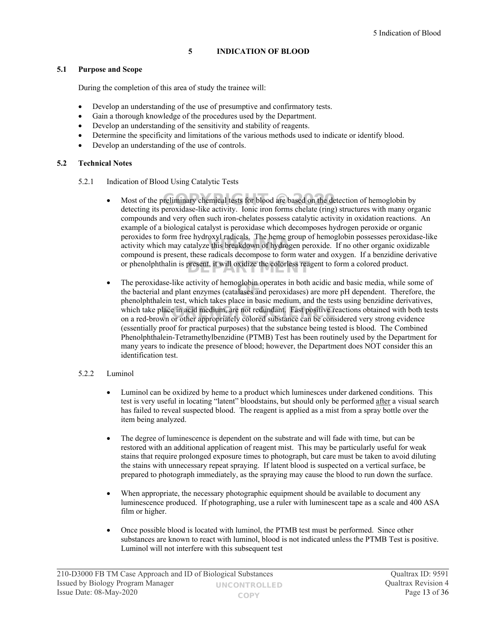#### <span id="page-12-0"></span>**5 INDICATION OF BLOOD**

#### **5.1 Purpose and Scope**

During the completion of this area of study the trainee will:

- Develop an understanding of the use of presumptive and confirmatory tests.
- Gain a thorough knowledge of the procedures used by the Department.
- Develop an understanding of the sensitivity and stability of reagents.
- Determine the specificity and limitations of the various methods used to indicate or identify blood.
- Develop an understanding of the use of controls.

#### **5.2 Technical Notes**

- 5.2.1 Indication of Blood Using Catalytic Tests
	- Most of the preliminary chemical tests for blood are based on the detection of hemoglobin by detection is a consultance like a consultance in the consultance of the consultance in the consultance of the consultance of the detecting its peroxidase-like activity. Ionic iron forms chelate (ring) structures with many organic compounds and very often such iron-chelates possess catalytic activity in oxidation reactions. An example of a biological catalyst is peroxidase which decomposes hydrogen peroxide or organic peroxides to form free hydroxyl radicals. The heme group of hemoglobin possesses peroxidase-like activity which may catalyze this breakdown of hydrogen peroxide. If no other organic oxidizable activity which may catalyze this breakdown of hydrogen peroxide. If no other organic oxidizable compound is present, these radicals decompose to form water and oxygen. If a benzidine derivative or phenolphthalin is present, it will oxidize the colorless reagent to form a colored product.
	- The peroxidase-like activity of hemoglobin operates in both acidic and basic media, while some of The peroxidase-like activity of hemogroom operates in both active and basic media, while some of the bacterial and plant enzymes (catalases and peroxidases) are more pH dependent. Therefore, the phenolphthalein test, which takes place in basic medium, and the tests using benzidine derivatives, which take place in acid medium, are not redundant. Fast positive reactions obtained with both tests on a red-brown or other appropriately colored substance can be considered very strong evidence on a red-brown or other appropriately colored substance can be considered very strong evidence (essentially proof for practical purposes) that the substance being tested is blood. The Combined Phenolphthalein-Tetramethylbenzidine (PTMB) Test has been routinely used by the Department for many years to indicate the presence of blood; however, the Department does NOT consider this an identification test.

#### 5.2.2 Luminol

- Luminol can be oxidized by heme to a product which luminesces under darkened conditions. This test is very useful in locating "latent" bloodstains, but should only be performed after a visual search has failed to reveal suspected blood. The reagent is applied as a mist from a spray bottle over the item being analyzed.
- The degree of luminescence is dependent on the substrate and will fade with time, but can be restored with an additional application of reagent mist. This may be particularly useful for weak stains that require prolonged exposure times to photograph, but care must be taken to avoid diluting the stains with unnecessary repeat spraying. If latent blood is suspected on a vertical surface, be prepared to photograph immediately, as the spraying may cause the blood to run down the surface.
- When appropriate, the necessary photographic equipment should be available to document any luminescence produced. If photographing, use a ruler with luminescent tape as a scale and 400 ASA film or higher.
- Once possible blood is located with luminol, the PTMB test must be performed. Since other substances are known to react with luminol, blood is not indicated unless the PTMB Test is positive. Luminol will not interfere with this subsequent test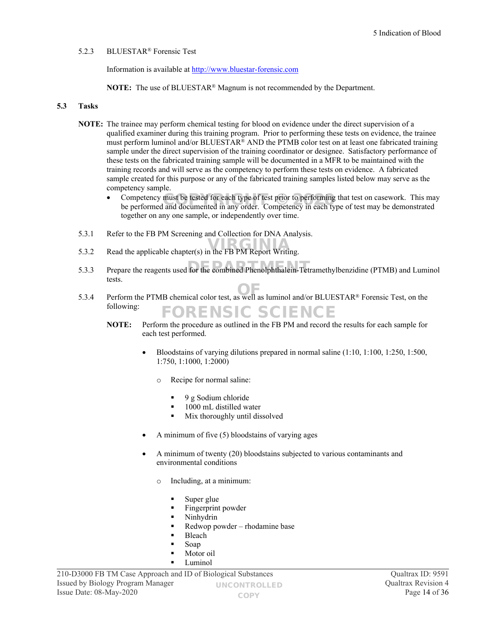#### 5.2.3 BLUESTAR® Forensic Test

Information is available at [http://www.bluestar-forensic.com](http://www.bluestar-forensic.com/)

**NOTE:** The use of BLUESTAR® Magnum is not recommended by the Department.

#### **5.3 Tasks**

- **NOTE:** The trainee may perform chemical testing for blood on evidence under the direct supervision of a qualified examiner during this training program. Prior to performing these tests on evidence, the trainee must perform luminol and/or BLUESTAR® AND the PTMB color test on at least one fabricated training sample under the direct supervision of the training coordinator or designee. Satisfactory performance of these tests on the fabricated training sample will be documented in a MFR to be maintained with the training records and will serve as the competency to perform these tests on evidence. A fabricated sample created for this purpose or any of the fabricated training samples listed below may serve as the competency sample.
	- Competency must be tested for each type of test prior to performing that test on casework. This may be performed and documented in any order. Competency in each type of test may be demonstrated be performed and documented in any order. Competency in each type of test may be demonstrated together on any one sample, or independently over time.
- 5.3.1 Refer to the FB PM Screening and Collection for DNA Analysis.
- $5.3.2$  Read the applicable chapter(s) in the FB PM Report Writing.
- 5.3.3 Prepare the reagents used for the combined Phenolphthalein-Tetramethylbenzidine (PTMB) and Luminol tests.
- 5.3.4 Perform the PTMB chemical color test, as well as luminol and/or BLUESTAR<sup>®</sup> Forensic Test, on the following: **DRENSIC SCIENCE** 
	- **NOTE:** Perform the procedure as outlined in the FB PM and record the results for each sample for each test performed.
		- Bloodstains of varying dilutions prepared in normal saline (1:10, 1:100, 1:250, 1:500, 1:750, 1:1000, 1:2000)
			- o Recipe for normal saline:
				- $\bullet$  9 g Sodium chloride
				- 1000 mL distilled water
				- $\blacksquare$  Mix thoroughly until dissolved
		- A minimum of five (5) bloodstains of varying ages
		- A minimum of twenty (20) bloodstains subjected to various contaminants and environmental conditions
			- o Including, at a minimum:
				- Super glue
				- Fingerprint powder
				- Ninhydrin
				- Redwop powder rhodamine base
				- Bleach
				- Soap
				- Motor oil
				- Luminol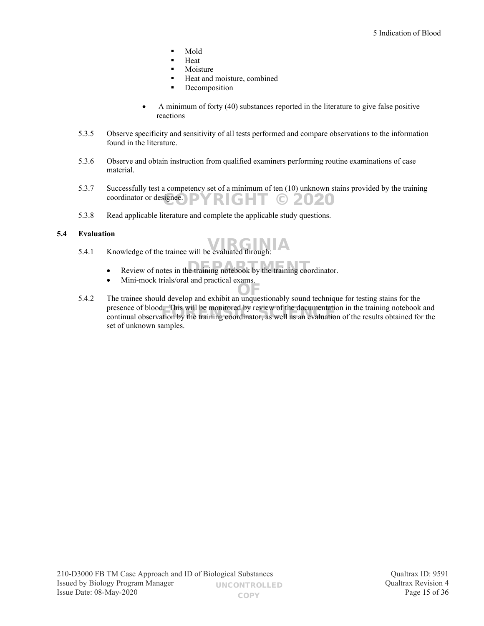- Mold
- Heat
- Moisture
- Heat and moisture, combined
- **Decomposition**
- A minimum of forty (40) substances reported in the literature to give false positive reactions
- 5.3.5 Observe specificity and sensitivity of all tests performed and compare observations to the information found in the literature.
- 5.3.6 Observe and obtain instruction from qualified examiners performing routine examinations of case material.
- 5.3.7 Successfully test a competency set of a minimum of ten (10) unknown stains provided by the training coordinator or designee.  $\textsf{PYRIGHT} \odot \textsf{2020}$
- 5.3.8 Read applicable literature and complete the applicable study questions.

#### **5.4 Evaluation**

- $5.4.1$  Knowledge of the trainee will be evaluated through:
	- Review of notes in the training notebook by the training coordinator.
	- Mini-mock trials/oral and practical exams.
- 5.4.2 The trainee should develop and exhibit an unquestionably sound technique for testing stains for the presence of blood. This will be monitored by review of the documentation in the training notebook and presence of blood. This will be monitored by review of the documentation in the training notebook and<br>continual observation by the training coordinator, as well as an evaluation of the results obtained for the set of unknown samples.

OF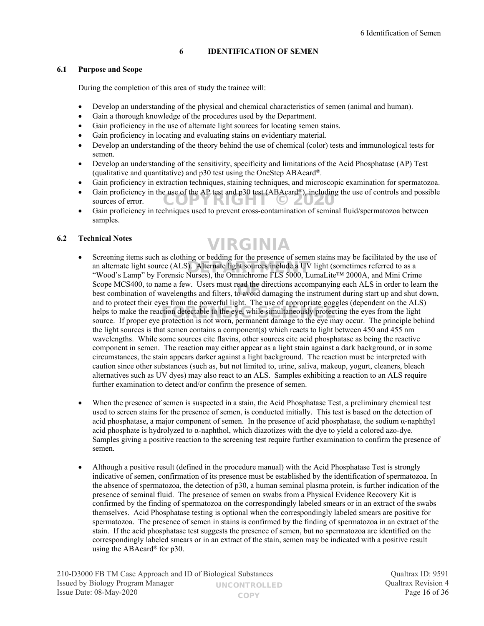#### <span id="page-15-0"></span>**6 IDENTIFICATION OF SEMEN**

#### **6.1 Purpose and Scope**

During the completion of this area of study the trainee will:

- Develop an understanding of the physical and chemical characteristics of semen (animal and human).
- Gain a thorough knowledge of the procedures used by the Department.
- Gain proficiency in the use of alternate light sources for locating semen stains.
- Gain proficiency in locating and evaluating stains on evidentiary material.
- Develop an understanding of the theory behind the use of chemical (color) tests and immunological tests for semen.
- Develop an understanding of the sensitivity, specificity and limitations of the Acid Phosphatase (AP) Test (qualitative and quantitative) and p30 test using the OneStep ABAcard®.
- Gain proficiency in extraction techniques, staining techniques, and microscopic examination for spermatozoa.
- Gain proficiency in the use of the AP test and p30 test  $(ABAcard^{\circledast})$ , including the use of controls and possible sources of error. sources of error.
- Gain proficiency in techniques used to prevent cross-contamination of seminal fluid/spermatozoa between samples.

#### **6.2 Technical Notes**

### VIRGINIA

- Screening items such as clothing or bedding for the presence of semen stains may be facilitated by the use of an alternate light source (ALS). Alternate light sources include a UV light (sometimes referred to as a  $\degree$ Wood's Lamp'' by Forensic Nurses), the Omnichrome ELS 5000 LumaLite<sup>TM</sup> 2000A, and Mini Crim "Wood's Lamp" by Forensic Nurses), the Omnichrome FLS 5000, LumaLite™ 2000A, and Mini Crime Scope MCS400, to name a few. Users must read the directions accompanying each ALS in order to learn the Scope MCS400, to name a few. Users must read the directions accompanying each ALS in order to learn the best combination of wavelengths and filters, to avoid damaging the instrument during start up and shut down, and to protect their eyes from the powerful light. The use of appropriate goggles (dependent on the ALS) helps to make the reaction detectable to the eye, while simultaneously protecting the eyes from the light source. If proper eye protection is not worn permanent damage to the eye may occur. The principle help source. If proper eye protection is not worn, permanent damage to the eye may occur. The principle behind the light sources is that semen contains a component(s) which reacts to light between 450 and 455 nm wavelengths. While some sources cite flavins, other sources cite acid phosphatase as being the reactive component in semen. The reaction may either appear as a light stain against a dark background, or in some circumstances, the stain appears darker against a light background. The reaction must be interpreted with caution since other substances (such as, but not limited to, urine, saliva, makeup, yogurt, cleaners, bleach alternatives such as UV dyes) may also react to an ALS. Samples exhibiting a reaction to an ALS require further examination to detect and/or confirm the presence of semen.
- When the presence of semen is suspected in a stain, the Acid Phosphatase Test, a preliminary chemical test used to screen stains for the presence of semen, is conducted initially. This test is based on the detection of acid phosphatase, a major component of semen. In the presence of acid phosphatase, the sodium  $\alpha$ -naphthyl acid phosphate is hydrolyzed to  $\alpha$ -naphthol, which diazotizes with the dye to yield a colored azo-dye. Samples giving a positive reaction to the screening test require further examination to confirm the presence of semen.
- Although a positive result (defined in the procedure manual) with the Acid Phosphatase Test is strongly indicative of semen, confirmation of its presence must be established by the identification of spermatozoa. In the absence of spermatozoa, the detection of p30, a human seminal plasma protein, is further indication of the presence of seminal fluid. The presence of semen on swabs from a Physical Evidence Recovery Kit is confirmed by the finding of spermatozoa on the correspondingly labeled smears or in an extract of the swabs themselves. Acid Phosphatase testing is optional when the correspondingly labeled smears are positive for spermatozoa. The presence of semen in stains is confirmed by the finding of spermatozoa in an extract of the stain. If the acid phosphatase test suggests the presence of semen, but no spermatozoa are identified on the correspondingly labeled smears or in an extract of the stain, semen may be indicated with a positive result using the ABAcard® for p30.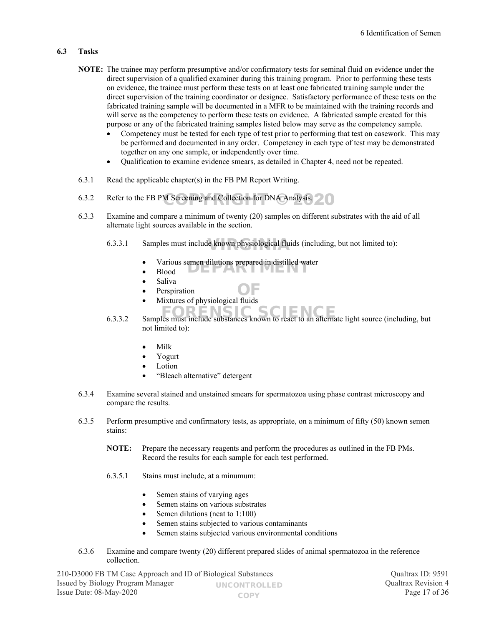#### **6.3 Tasks**

- **NOTE:** The trainee may perform presumptive and/or confirmatory tests for seminal fluid on evidence under the direct supervision of a qualified examiner during this training program. Prior to performing these tests on evidence, the trainee must perform these tests on at least one fabricated training sample under the direct supervision of the training coordinator or designee. Satisfactory performance of these tests on the fabricated training sample will be documented in a MFR to be maintained with the training records and will serve as the competency to perform these tests on evidence. A fabricated sample created for this purpose or any of the fabricated training samples listed below may serve as the competency sample.
	- Competency must be tested for each type of test prior to performing that test on casework. This may be performed and documented in any order. Competency in each type of test may be demonstrated together on any one sample, or independently over time.
	- Qualification to examine evidence smears, as detailed in Chapter 4, need not be repeated.
- 6.3.1 Read the applicable chapter(s) in the FB PM Report Writing.
- 6.3.2 Refer to the FB PM Screening and Collection for DNA Analysis.
- 6.3.3 Examine and compare a minimum of twenty (20) samples on different substrates with the aid of all alternate light sources available in the section.
	- 6.3.3.1 Samples must include known physiological fluids (including, but not limited to):
		- various semen dilutions prepared in distilled water<br>
		Blood
		- Blood
		- Saliva
		- Perspiration
		- Perspiration <br>• Mixtures of physiological fluids
	- 6.3.3.2 Samples must include substances known to react to an alternate light source (including, but not limited to):
		- Milk
		- Yogurt
		- Lotion
		- "Bleach alternative" detergent
- 6.3.4 Examine several stained and unstained smears for spermatozoa using phase contrast microscopy and compare the results.
- 6.3.5 Perform presumptive and confirmatory tests, as appropriate, on a minimum of fifty (50) known semen stains:
	- **NOTE:** Prepare the necessary reagents and perform the procedures as outlined in the FB PMs. Record the results for each sample for each test performed.
	- 6.3.5.1 Stains must include, at a minumum:
		- Semen stains of varying ages
		- Semen stains on various substrates
		- Semen dilutions (neat to 1:100)
		- Semen stains subjected to various contaminants
		- Semen stains subjected various environmental conditions
- 6.3.6 Examine and compare twenty (20) different prepared slides of animal spermatozoa in the reference collection.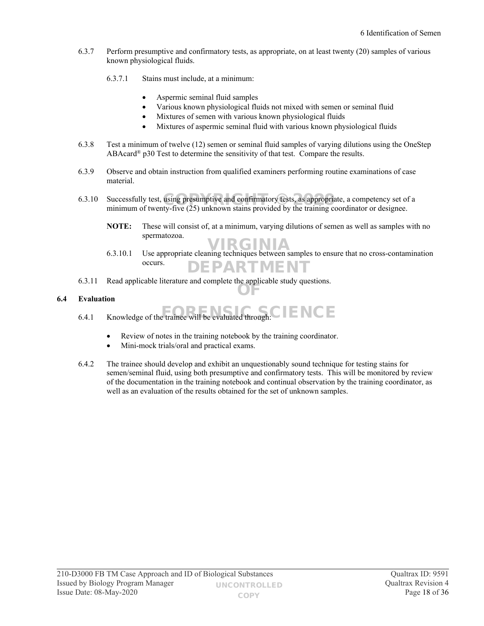- 6.3.7 Perform presumptive and confirmatory tests, as appropriate, on at least twenty (20) samples of various known physiological fluids.
	- 6.3.7.1 Stains must include, at a minimum:
		- Aspermic seminal fluid samples
		- Various known physiological fluids not mixed with semen or seminal fluid
		- Mixtures of semen with various known physiological fluids
		- Mixtures of aspermic seminal fluid with various known physiological fluids
- 6.3.8 Test a minimum of twelve (12) semen or seminal fluid samples of varying dilutions using the OneStep ABAcard® p30 Test to determine the sensitivity of that test. Compare the results.
- 6.3.9 Observe and obtain instruction from qualified examiners performing routine examinations of case material.
- 6.3.10 Successfully test, using presumptive and confirmatory tests, as appropriate, a competency set of a minimum of twenty five  $(25)$  unknown stains provided by the training coordinator or designee minimum of twenty-five (25) unknown stains provided by the training coordinator or designee.
	- **NOTE:** These will consist of, at a minimum, varying dilutions of semen as well as samples with no spermatozoa.
	- 6.3.10.1 Use appropriate cleaning techniques between samples to ensure that no cross-contamination occurs. DEPARTMENT
- 6.3.11 Read applicable literature and complete the applicable study questions. OF

#### **6.4 Evaluation**

- 6.4.1 Knowledge of the trainee will be evaluated through: FORENSIC SCIENCE
	- Review of notes in the training notebook by the training coordinator.
	- Mini-mock trials/oral and practical exams.
- 6.4.2 The trainee should develop and exhibit an unquestionably sound technique for testing stains for semen/seminal fluid, using both presumptive and confirmatory tests. This will be monitored by review of the documentation in the training notebook and continual observation by the training coordinator, as well as an evaluation of the results obtained for the set of unknown samples.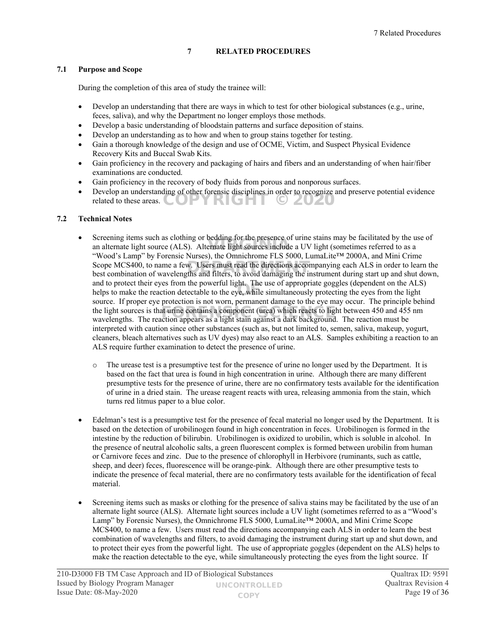#### <span id="page-18-0"></span>**7 RELATED PROCEDURES**

#### **7.1 Purpose and Scope**

During the completion of this area of study the trainee will:

- Develop an understanding that there are ways in which to test for other biological substances (e.g., urine, feces, saliva), and why the Department no longer employs those methods.
- Develop a basic understanding of bloodstain patterns and surface deposition of stains.
- Develop an understanding as to how and when to group stains together for testing.
- Gain a thorough knowledge of the design and use of OCME, Victim, and Suspect Physical Evidence Recovery Kits and Buccal Swab Kits.
- Gain proficiency in the recovery and packaging of hairs and fibers and an understanding of when hair/fiber examinations are conducted.
- Gain proficiency in the recovery of body fluids from porous and nonporous surfaces.
- Develop an understanding of other forensic disciplines in order to recognize and preserve potential evidence related to these areas.  $\left( \bigcup_{n=1}^{\infty} \left[ \bigcup_{n=1}^{\infty} \right]$ YRIGHT © 20**20**

#### **7.2 Technical Notes**

- Screening items such as clothing or bedding for the presence of urine stains may be facilitated by the use of screening neins such as clouding of bedding for the presence of the stalls hay be facilitated by the the and alternate light sources include a UV light (sometimes referred to as a matternate light sources include a UV ligh "Wood's Lamp" by Forensic Nurses), the Omnichrome FLS 5000, LumaLite™ 2000A, and Mini Crime Scope MCS400, to name a few. Users must read the directions accompanying each ALS in order to learn the best combination of wavelengths and filters, to avoid damaging the instrument during start up and shut down. best combination of wavelengths and filters, to avoid damaging the instrument during start up and shut down, and to protect their eyes from the powerful light. The use of appropriate goggles (dependent on the ALS) and to protect their eyes from the powerful fight. The use of appropriate goggles (dependent of the ALS<br>helps to make the reaction detectable to the eye, while simultaneously protecting the eyes from the light source. If proper eye protection is not worn, permanent damage to the eye may occur. The principle behind the light sources is that urine contains a component (urea) which reacts to light between 450 and 455 nm wavelengths. The reaction appears as a light stain against a dark background. The reaction must be wavelengths. The reaction appears as a light stain against a dark background. The reaction must be interpreted with caution since other substances (such as, but not limited to, semen, saliva, makeup, yogurt, cleaners, bleach alternatives such as UV dyes) may also react to an ALS. Samples exhibiting a reaction to an ALS require further examination to detect the presence of urine.
	- o The urease test is a presumptive test for the presence of urine no longer used by the Department. It is based on the fact that urea is found in high concentration in urine. Although there are many different presumptive tests for the presence of urine, there are no confirmatory tests available for the identification of urine in a dried stain. The urease reagent reacts with urea, releasing ammonia from the stain, which turns red litmus paper to a blue color.
- Edelman's test is a presumptive test for the presence of fecal material no longer used by the Department. It is based on the detection of urobilinogen found in high concentration in feces. Urobilinogen is formed in the intestine by the reduction of bilirubin. Urobilinogen is oxidized to urobilin, which is soluble in alcohol. In the presence of neutral alcoholic salts, a green fluorescent complex is formed between urobilin from human or Carnivore feces and zinc. Due to the presence of chlorophyll in Herbivore (ruminants, such as cattle, sheep, and deer) feces, fluorescence will be orange-pink. Although there are other presumptive tests to indicate the presence of fecal material, there are no confirmatory tests available for the identification of fecal material.
- Screening items such as masks or clothing for the presence of saliva stains may be facilitated by the use of an alternate light source (ALS). Alternate light sources include a UV light (sometimes referred to as a "Wood's Lamp" by Forensic Nurses), the Omnichrome FLS 5000, LumaLite™ 2000A, and Mini Crime Scope MCS400, to name a few. Users must read the directions accompanying each ALS in order to learn the best combination of wavelengths and filters, to avoid damaging the instrument during start up and shut down, and to protect their eyes from the powerful light. The use of appropriate goggles (dependent on the ALS) helps to make the reaction detectable to the eye, while simultaneously protecting the eyes from the light source. If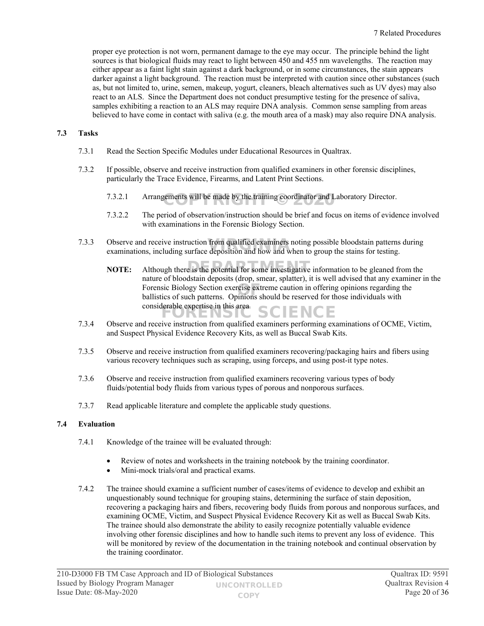proper eye protection is not worn, permanent damage to the eye may occur. The principle behind the light sources is that biological fluids may react to light between 450 and 455 nm wavelengths. The reaction may either appear as a faint light stain against a dark background, or in some circumstances, the stain appears darker against a light background. The reaction must be interpreted with caution since other substances (such as, but not limited to, urine, semen, makeup, yogurt, cleaners, bleach alternatives such as UV dyes) may also react to an ALS. Since the Department does not conduct presumptive testing for the presence of saliva, samples exhibiting a reaction to an ALS may require DNA analysis. Common sense sampling from areas believed to have come in contact with saliva (e.g. the mouth area of a mask) may also require DNA analysis.

#### **7.3 Tasks**

- 7.3.1 Read the Section Specific Modules under Educational Resources in Qualtrax.
- 7.3.2 If possible, observe and receive instruction from qualified examiners in other forensic disciplines, particularly the Trace Evidence, Firearms, and Latent Print Sections.
	- 7.3.2.1 Arrangements will be made by the training coordinator and Laboratory Director.
	- 7.3.2.2 The period of observation/instruction should be brief and focus on items of evidence involved with examinations in the Forensic Biology Section.
- 7.3.3 Observe and receive instruction from qualified examiners noting possible bloodstain patterns during examinations, including surface deposition and how and when to group the stains for testing. examinations, including surface deposition and how and when to group the stains for testing.
	- **NOTE:** Although there is the potential for some investigative information to be gleaned from the nature of bloodstain deposits (drop, smear, splatter), it is well advised that any examiner in the Forensic Biology Section exercise extreme caution in offering opinions regarding the ballistics of such patterns. Opinions should be reserved for those individuals with ballistics of such patterns. Opinions should be reserved for those individuals with considerable expertise in this area DRENSIC SCIENCE
- 7.3.4 Observe and receive instruction from qualified examiners performing examinations of OCME, Victim, and Suspect Physical Evidence Recovery Kits, as well as Buccal Swab Kits.
- 7.3.5 Observe and receive instruction from qualified examiners recovering/packaging hairs and fibers using various recovery techniques such as scraping, using forceps, and using post-it type notes.
- 7.3.6 Observe and receive instruction from qualified examiners recovering various types of body fluids/potential body fluids from various types of porous and nonporous surfaces.
- 7.3.7 Read applicable literature and complete the applicable study questions.

#### **7.4 Evaluation**

- 7.4.1 Knowledge of the trainee will be evaluated through:
	- Review of notes and worksheets in the training notebook by the training coordinator.
	- Mini-mock trials/oral and practical exams.
- 7.4.2 The trainee should examine a sufficient number of cases/items of evidence to develop and exhibit an unquestionably sound technique for grouping stains, determining the surface of stain deposition, recovering a packaging hairs and fibers, recovering body fluids from porous and nonporous surfaces, and examining OCME, Victim, and Suspect Physical Evidence Recovery Kit as well as Buccal Swab Kits. The trainee should also demonstrate the ability to easily recognize potentially valuable evidence involving other forensic disciplines and how to handle such items to prevent any loss of evidence. This will be monitored by review of the documentation in the training notebook and continual observation by the training coordinator.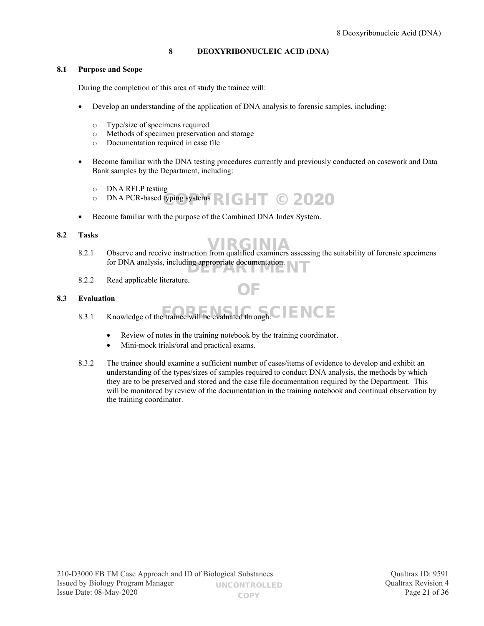### <span id="page-20-0"></span>**8 DEOXYRIBONUCLEIC ACID (DNA)**

#### **8.1 Purpose and Scope**

During the completion of this area of study the trainee will:

- Develop an understanding of the application of DNA analysis to forensic samples, including:
	- o Type/size of specimens required
	- o Methods of specimen preservation and storage
	- o Documentation required in case file
- Become familiar with the DNA testing procedures currently and previously conducted on casework and Data Bank samples by the Department, including:
	- o DNA RFLP testing
	- $\circ$  DNA PCR-based typing systems  $\blacksquare$  GHT © 2020
- Become familiar with the purpose of the Combined DNA Index System.

#### **8.2 Tasks**

OF

- 8.2.1 Observe and receive instruction from qualified examiners assessing the suitability of forensic specimens for DNA analysis, including appropriate documentation.
- 8.2.2 Read applicable literature.

#### **8.3 Evaluation**

- 8.3.1 Knowledge of the trainee will be evaluated through:  $\text{C}$   $\text{F}$   $\text{C}$   $\text{F}$ 
	- Review of notes in the training notebook by the training coordinator.
	- Mini-mock trials/oral and practical exams.
- 8.3.2 The trainee should examine a sufficient number of cases/items of evidence to develop and exhibit an understanding of the types/sizes of samples required to conduct DNA analysis, the methods by which they are to be preserved and stored and the case file documentation required by the Department. This will be monitored by review of the documentation in the training notebook and continual observation by the training coordinator.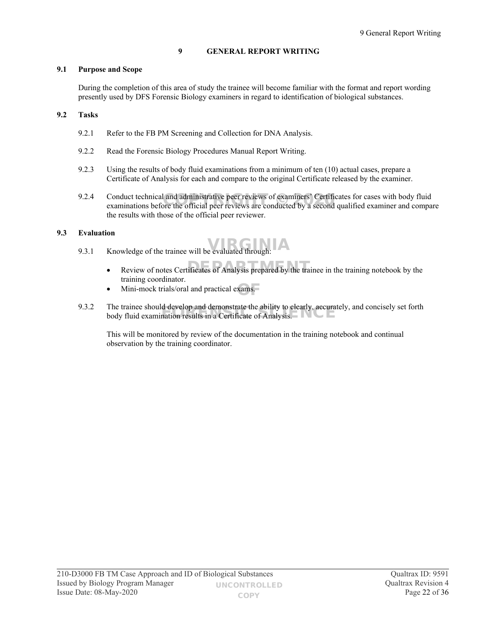#### <span id="page-21-0"></span>**9 GENERAL REPORT WRITING**

#### **9.1 Purpose and Scope**

During the completion of this area of study the trainee will become familiar with the format and report wording presently used by DFS Forensic Biology examiners in regard to identification of biological substances.

#### **9.2 Tasks**

- 9.2.1 Refer to the FB PM Screening and Collection for DNA Analysis.
- 9.2.2 Read the Forensic Biology Procedures Manual Report Writing.
- 9.2.3 Using the results of body fluid examinations from a minimum of ten (10) actual cases, prepare a Certificate of Analysis for each and compare to the original Certificate released by the examiner.
- 9.2.4 Conduct technical and administrative peer reviews of examiners' Certificates for cases with body fluid Conduct technical and administrative peer reviews of examiners' Certificates for cases with body fluid examinations before the official peer reviews are conducted by a second qualified examiner and compare the results with those of the official peer reviewer.

#### **9.3 Evaluation**

- $9.3.1$  Knowledge of the trainee will be evaluated through:
	- Review of notes Certificates of Analysis prepared by the trainee in the training notebook by the training coordinator.
	- Mini-mock trials/oral and practical exams.
- 9.3.2 The trainee should develop and demonstrate the ability to clearly, accurately, and concisely set forth I he trainee should develop and demonstrate the ability to clearly, accura<br>body fluid examination results in a Certificate of Analysis.

This will be monitored by review of the documentation in the training notebook and continual observation by the training coordinator.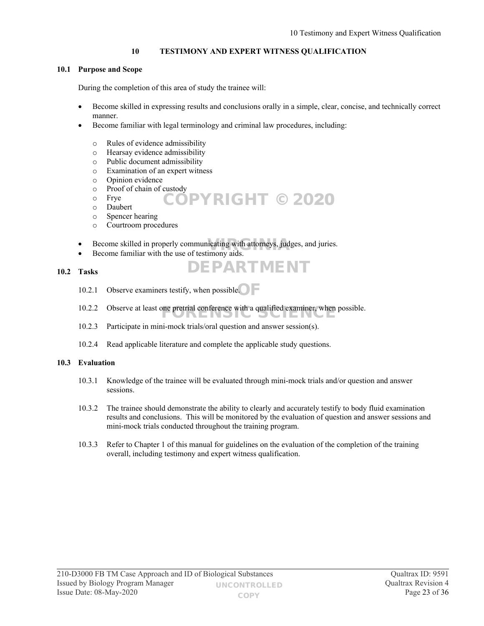#### <span id="page-22-0"></span>**10 TESTIMONY AND EXPERT WITNESS QUALIFICATION**

#### **10.1 Purpose and Scope**

During the completion of this area of study the trainee will:

- Become skilled in expressing results and conclusions orally in a simple, clear, concise, and technically correct manner.
- Become familiar with legal terminology and criminal law procedures, including:
	- o Rules of evidence admissibility
	- o Hearsay evidence admissibility
	- o Public document admissibility
	- o Examination of an expert witness
	- o Opinion evidence
	- o Proof of chain of custody
	- o Frye COPYRIGHT © 2020
	- o Daubert
	- o Spencer hearing
	- o Courtroom procedures
- Become skilled in properly communicating with attorneys, judges, and juries.<br>
Recome familiar with the use of testimony aids
- Become familiar with the use of testimony aids.

#### **10.2 Tasks**

- 10.2.1 Observe examiners testify, when possible.
- 10.2.2 Observe at least one pretrial conference with a qualified examiner, when possible.
- 10.2.3 Participate in mini-mock trials/oral question and answer session(s).
- 10.2.4 Read applicable literature and complete the applicable study questions.

#### **10.3 Evaluation**

10.3.1 Knowledge of the trainee will be evaluated through mini-mock trials and/or question and answer sessions.

DEPARTMENT

- 10.3.2 The trainee should demonstrate the ability to clearly and accurately testify to body fluid examination results and conclusions. This will be monitored by the evaluation of question and answer sessions and mini-mock trials conducted throughout the training program.
- 10.3.3 Refer to Chapter 1 of this manual for guidelines on the evaluation of the completion of the training overall, including testimony and expert witness qualification.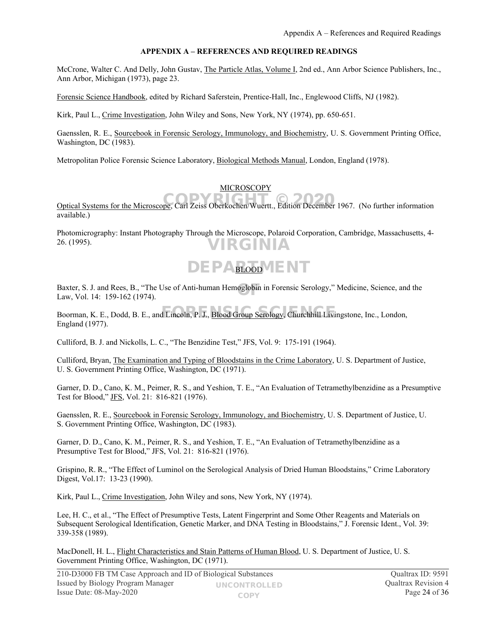#### <span id="page-23-0"></span>**APPENDIX A – REFERENCES AND REQUIRED READINGS**

McCrone, Walter C. And Delly, John Gustav, The Particle Atlas, Volume I, 2nd ed., Ann Arbor Science Publishers, Inc., Ann Arbor, Michigan (1973), page 23.

Forensic Science Handbook, edited by Richard Saferstein, Prentice-Hall, Inc., Englewood Cliffs, NJ (1982).

Kirk, Paul L., Crime Investigation, John Wiley and Sons, New York, NY (1974), pp. 650-651.

Gaensslen, R. E., Sourcebook in Forensic Serology, Immunology, and Biochemistry, U. S. Government Printing Office, Washington, DC (1983).

Metropolitan Police Forensic Science Laboratory, Biological Methods Manual, London, England (1978).

#### MICROSCOPY

Optical Systems for the Microscope, Carl Zeiss Oberkochen/Wuertt., Edition December 1967. (No further information available.)

Photomicrography: Instant Photography Through the Microscope, Polaroid Corporation, Cambridge, Massachusetts, 4- 26. (1995). VIRGINIA

### DEPABLOOD ENT

Baxter, S. J. and Rees, B., "The Use of Anti-human Hemoglobin in Forensic Serology," Medicine, Science, and the<br>Law Vol. 14: 159-162 (1974) Law, Vol. 14: 159-162 (1974).

Boorman, K. E., Dodd, B. E., and Lincoln, P. J., **Blood Group Serology**, Churchhill Livingstone, Inc., London, England (1977).

Culliford, B. J. and Nickolls, L. C., "The Benzidine Test," JFS, Vol. 9: 175-191 (1964).

Culliford, Bryan, The Examination and Typing of Bloodstains in the Crime Laboratory, U. S. Department of Justice, U. S. Government Printing Office, Washington, DC (1971).

Garner, D. D., Cano, K. M., Peimer, R. S., and Yeshion, T. E., "An Evaluation of Tetramethylbenzidine as a Presumptive Test for Blood," JFS, Vol. 21: 816-821 (1976).

Gaensslen, R. E., Sourcebook in Forensic Serology, Immunology, and Biochemistry, U. S. Department of Justice, U. S. Government Printing Office, Washington, DC (1983).

Garner, D. D., Cano, K. M., Peimer, R. S., and Yeshion, T. E., "An Evaluation of Tetramethylbenzidine as a Presumptive Test for Blood," JFS, Vol. 21: 816-821 (1976).

Grispino, R. R., "The Effect of Luminol on the Serological Analysis of Dried Human Bloodstains," Crime Laboratory Digest, Vol.17: 13-23 (1990).

Kirk, Paul L., Crime Investigation, John Wiley and sons, New York, NY (1974).

Lee, H. C., et al., "The Effect of Presumptive Tests, Latent Fingerprint and Some Other Reagents and Materials on Subsequent Serological Identification, Genetic Marker, and DNA Testing in Bloodstains," J. Forensic Ident., Vol. 39: 339-358 (1989).

MacDonell, H. L., Flight Characteristics and Stain Patterns of Human Blood, U. S. Department of Justice, U. S. Government Printing Office, Washington, DC (1971).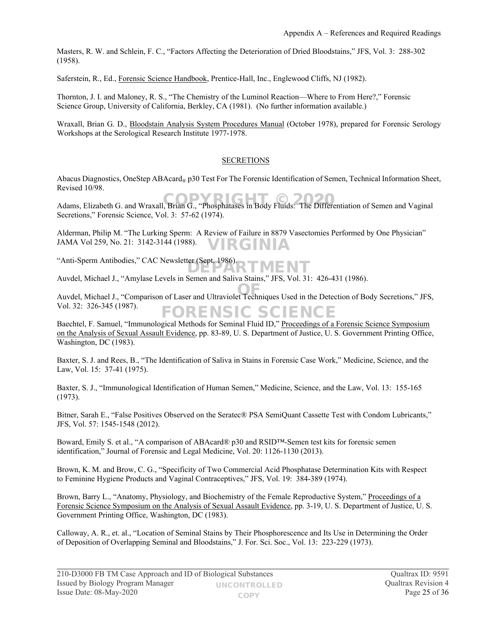Masters, R. W. and Schlein, F. C., "Factors Affecting the Deterioration of Dried Bloodstains," JFS, Vol. 3: 288-302 (1958).

Saferstein, R., Ed., Forensic Science Handbook, Prentice-Hall, Inc., Englewood Cliffs, NJ (1982).

Thornton, J. I. and Maloney, R. S., "The Chemistry of the Luminol Reaction—Where to From Here?," Forensic Science Group, University of California, Berkley, CA (1981). (No further information available.)

Wraxall, Brian G. D., Bloodstain Analysis System Procedures Manual (October 1978), prepared for Forensic Serology Workshops at the Serological Research Institute 1977-1978.

#### **SECRETIONS**

Abacus Diagnostics, OneStep ABAcard<sub>®</sub> p30 Test For The Forensic Identification of Semen, Technical Information Sheet, Revised 10/98.

Adams, Elizabeth G. and Wraxall, Brian G., "Phosphatases in Body Fluids: The Differentiation of Semen and Vaginal Secretions," Forensic Science, Vol. 3: 57-62 (1974).

Alderman, Philip M. "The Lurking Sperm: A Review of Failure in 8879 Vasectomies Performed by One Physician" JAMA Vol 259, No. 21: 3142-3144 (1988). VIRGINIA

"Anti-Sperm Antibodies," CAC Newsletter (Sept. 1986). DEPARTMENT

Auvdel, Michael J., "Amylase Levels in Semen and Saliva Stains," JFS, Vol. 31: 426-431 (1986).

Auvdel, Michael J., "Comparison of Laser and Ultraviolet Techniques Used in the Detection of Body Secretions," JFS, OF Vol. 32: 326-345 (1987). FORENSIC SCIENCE

Baechtel, F. Samuel, "Immunological Methods for Seminal Fluid ID," Proceedings of a Forensic Science Symposium on the Analysis of Sexual Assault Evidence, pp. 83-89, U. S. Department of Justice, U. S. Government Printing Office, Washington, DC (1983).

Baxter, S. J. and Rees, B., "The Identification of Saliva in Stains in Forensic Case Work," Medicine, Science, and the Law, Vol. 15: 37-41 (1975).

Baxter, S. J., "Immunological Identification of Human Semen," Medicine, Science, and the Law, Vol. 13: 155-165 (1973).

Bitner, Sarah E., "False Positives Observed on the Seratec® PSA SemiQuant Cassette Test with Condom Lubricants," JFS, Vol. 57: 1545-1548 (2012).

Boward, Emily S. et al., "A comparison of ABAcard® p30 and RSID™-Semen test kits for forensic semen identification," Journal of Forensic and Legal Medicine, Vol. 20: 1126-1130 (2013).

Brown, K. M. and Brow, C. G., "Specificity of Two Commercial Acid Phosphatase Determination Kits with Respect to Feminine Hygiene Products and Vaginal Contraceptives," JFS, Vol. 19: 384-389 (1974).

Brown, Barry L., "Anatomy, Physiology, and Biochemistry of the Female Reproductive System," Proceedings of a Forensic Science Symposium on the Analysis of Sexual Assault Evidence, pp. 3-19, U. S. Department of Justice, U. S. Government Printing Office, Washington, DC (1983).

Calloway, A. R., et. al., "Location of Seminal Stains by Their Phosphorescence and Its Use in Determining the Order of Deposition of Overlapping Seminal and Bloodstains," J. For. Sci. Soc., Vol. 13: 223-229 (1973).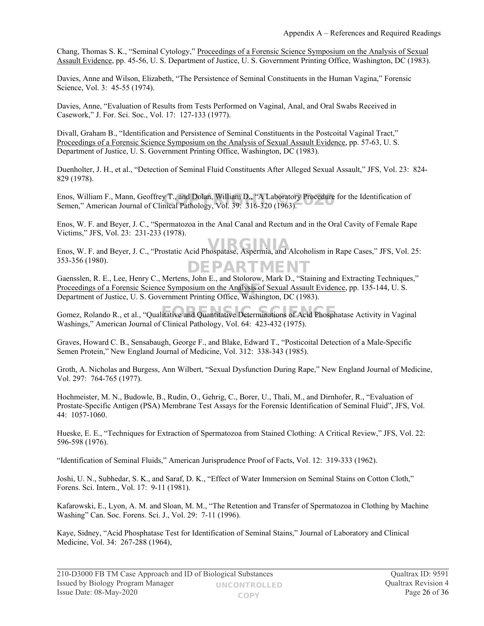Chang, Thomas S. K., "Seminal Cytology," Proceedings of a Forensic Science Symposium on the Analysis of Sexual Assault Evidence, pp. 45-56, U. S. Department of Justice, U. S. Government Printing Office, Washington, DC (1983).

Davies, Anne and Wilson, Elizabeth, "The Persistence of Seminal Constituents in the Human Vagina," Forensic Science, Vol. 3: 45-55 (1974).

Davies, Anne, "Evaluation of Results from Tests Performed on Vaginal, Anal, and Oral Swabs Received in Casework," J. For. Sci. Soc., Vol. 17: 127-133 (1977).

Divall, Graham B., "Identification and Persistence of Seminal Constituents in the Postcoital Vaginal Tract," Proceedings of a Forensic Science Symposium on the Analysis of Sexual Assault Evidence, pp. 57-63, U. S. Department of Justice, U. S. Government Printing Office, Washington, DC (1983).

Duenholter, J. H., et al., "Detection of Seminal Fluid Constituents After Alleged Sexual Assault," JFS, Vol. 23: 824- 829 (1978).

Enos, William F., Mann, Geoffrey T., and Dolan, William D., "A Laboratory Procedure for the Identification of<br>Semen." American Journal of Clinical Pathology. Vol. 39: 316-320 (1963). Semen," American Journal of Clinical Pathology, Vol. 39: 316-320 (1963).

Enos, W. F. and Beyer, J. C., "Spermatozoa in the Anal Canal and Rectum and in the Oral Cavity of Female Rape Victims," JFS, Vol. 23: 231-233 (1978).

enos, W. F. and Beyer, J. C., "Prostatic Acid Phospatase, Aspermia, and Alcoholism in Rape Cases," JFS, Vol. 25: 353-356 (1980). DEPARTMENT

Gaensslen, R. E., Lee, Henry C., Mertens, John E., and Stolorow, Mark D., "Staining and Extracting Techniques," Proceedings of a Forensic Science Symposium on the Analysis of Sexual Assault Evidence, pp. 135-144, U. S.<br>Department of Justice, U. S. Government Printing Office, Washington, DC (1983) Department of Justice, U. S. Government Printing Office, Washington, DC (1983).

Gomez, Rolando R., et al., "Qualitative and Quantitative Determinations of Acid Phosphatase Activity in Vaginal Washings," American Journal of Clinical Pathology, Vol. 64: 423-432 (1975).

Graves, Howard C. B., Sensabaugh, George F., and Blake, Edward T., "Posticoital Detection of a Male-Specific Semen Protein," New England Journal of Medicine, Vol. 312: 338-343 (1985).

Groth, A. Nicholas and Burgess, Ann Wilbert, "Sexual Dysfunction During Rape," New England Journal of Medicine, Vol. 297: 764-765 (1977).

Hochmeister, M. N., Budowle, B., Rudin, O., Gehrig, C., Borer, U., Thali, M., and Dirnhofer, R., "Evaluation of Prostate-Specific Antigen (PSA) Membrane Test Assays for the Forensic Identification of Seminal Fluid", JFS, Vol. 44: 1057-1060.

Hueske, E. E., "Techniques for Extraction of Spermatozoa from Stained Clothing: A Critical Review," JFS, Vol. 22: 596-598 (1976).

"Identification of Seminal Fluids," American Jurisprudence Proof of Facts, Vol. 12: 319-333 (1962).

Joshi, U. N., Subhedar, S. K., and Saraf, D. K., "Effect of Water Immersion on Seminal Stains on Cotton Cloth," Forens. Sci. Intern., Vol. 17: 9-11 (1981).

Kafarowski, E., Lyon, A. M. and Sloan, M. M., "The Retention and Transfer of Spermatozoa in Clothing by Machine Washing" Can. Soc. Forens. Sci. J., Vol. 29: 7-11 (1996).

Kaye, Sidney, "Acid Phosphatase Test for Identification of Seminal Stains," Journal of Laboratory and Clinical Medicine, Vol. 34: 267-288 (1964),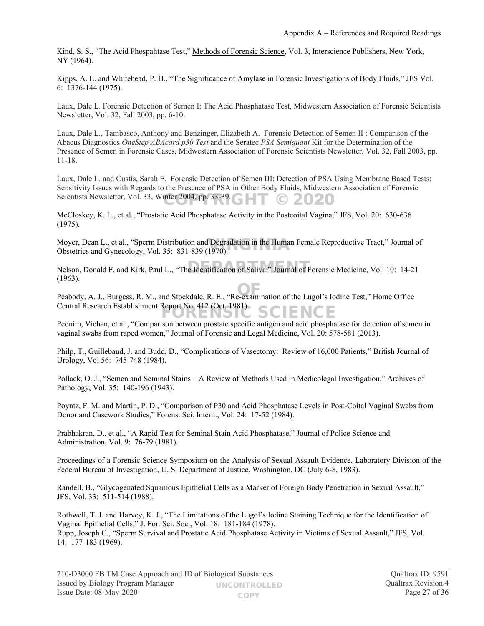Kind, S. S., "The Acid Phospahtase Test," Methods of Forensic Science, Vol. 3, Interscience Publishers, New York, NY (1964).

Kipps, A. E. and Whitehead, P. H., "The Significance of Amylase in Forensic Investigations of Body Fluids," JFS Vol. 6: 1376-144 (1975).

Laux, Dale L. Forensic Detection of Semen I: The Acid Phosphatase Test, Midwestern Association of Forensic Scientists Newsletter, Vol. 32, Fall 2003, pp. 6-10.

Laux, Dale L., Tambasco, Anthony and Benzinger, Elizabeth A. Forensic Detection of Semen II : Comparison of the Abacus Diagnostics *OneStep ABAcard p30 Test* and the Seratec *PSA Semiquant* Kit for the Determination of the Presence of Semen in Forensic Cases, Midwestern Association of Forensic Scientists Newsletter, Vol. 32, Fall 2003, pp. 11-18.

Laux, Dale L. and Custis, Sarah E. Forensic Detection of Semen III: Detection of PSA Using Membrane Based Tests: Sensitivity Issues with Regards to the Presence of PSA in Other Body Fluids, Midwestern Association of Forensic Scientists Newsletter, Vol. 33, Winter 2004, pp. 33-39.  $\textcircled{\textsf{--T}}$  © 2020

McCloskey, K. L., et al., "Prostatic Acid Phosphatase Activity in the Postcoital Vagina," JFS, Vol. 20: 630-636 (1975).

Moyer, Dean L., et al., "Sperm Distribution and Degradation in the Human Female Reproductive Tract," Journal of Obstetrics and Gynecology. Vol. 35: 831-839 (1970). Obstetrics and Gynecology, Vol. 35: 831-839 (1970).

Nelson, Donald F. and Kirk, Paul L., "The Identification of Saliva," Journal of Forensic Medicine, Vol. 10: 14-21 (1963).

Peabody, A. J., Burgess, R. M., and Stockdale, R. E., "Re-examination of the Lugol's Iodine Test," Home Office Central Research Establishment Report No. 412 (Oct. 1981). SCIENCE

Peonim, Vichan, et al., "Comparison between prostate specific antigen and acid phosphatase for detection of semen in vaginal swabs from raped women," Journal of Forensic and Legal Medicine, Vol. 20: 578-581 (2013).

Philp, T., Guillebaud, J. and Budd, D., "Complications of Vasectomy: Review of 16,000 Patients," British Journal of Urology, Vol 56: 745-748 (1984).

Pollack, O. J., "Semen and Seminal Stains – A Review of Methods Used in Medicolegal Investigation," Archives of Pathology, Vol. 35: 140-196 (1943).

Poyntz, F. M. and Martin, P. D., "Comparison of P30 and Acid Phosphatase Levels in Post-Coital Vaginal Swabs from Donor and Casework Studies," Forens. Sci. Intern., Vol. 24: 17-52 (1984).

Prabhakran, D., et al., "A Rapid Test for Seminal Stain Acid Phosphatase," Journal of Police Science and Administration, Vol. 9: 76-79 (1981).

Proceedings of a Forensic Science Symposium on the Analysis of Sexual Assault Evidence, Laboratory Division of the Federal Bureau of Investigation, U. S. Department of Justice, Washington, DC (July 6-8, 1983).

Randell, B., "Glycogenated Squamous Epithelial Cells as a Marker of Foreign Body Penetration in Sexual Assault," JFS, Vol. 33: 511-514 (1988).

Rothwell, T. J. and Harvey, K. J., "The Limitations of the Lugol's Iodine Staining Technique for the Identification of Vaginal Epithelial Cells," J. For. Sci. Soc., Vol. 18: 181-184 (1978). Rupp, Joseph C., "Sperm Survival and Prostatic Acid Phosphatase Activity in Victims of Sexual Assault," JFS, Vol. 14: 177-183 (1969).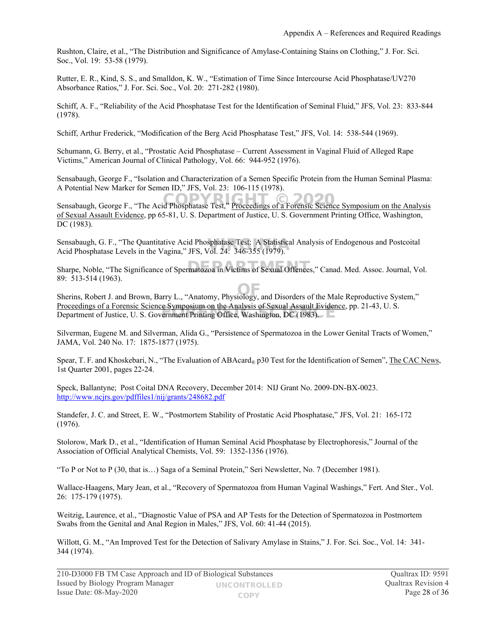Rushton, Claire, et al., "The Distribution and Significance of Amylase-Containing Stains on Clothing," J. For. Sci. Soc., Vol. 19: 53-58 (1979).

Rutter, E. R., Kind, S. S., and Smalldon, K. W., "Estimation of Time Since Intercourse Acid Phosphatase/UV270 Absorbance Ratios," J. For. Sci. Soc., Vol. 20: 271-282 (1980).

Schiff, A. F., "Reliability of the Acid Phosphatase Test for the Identification of Seminal Fluid," JFS, Vol. 23: 833-844 (1978).

Schiff, Arthur Frederick, "Modification of the Berg Acid Phosphatase Test," JFS, Vol. 14: 538-544 (1969).

Schumann, G. Berry, et al., "Prostatic Acid Phosphatase – Current Assessment in Vaginal Fluid of Alleged Rape Victims," American Journal of Clinical Pathology, Vol. 66: 944-952 (1976).

Sensabaugh, George F., "Isolation and Characterization of a Semen Specific Protein from the Human Seminal Plasma: A Potential New Marker for Semen ID," JFS, Vol. 23: 106-115 (1978).

Sensabaugh, George F., "The Acid Phosphatase Test," Proceedings of a Forensic Science Symposium on the Analysis of Sexual Assault Evidence, pp 65-81, U. S. Department of Justice, U. S. Government Printing Office, Washington, DC (1983).

Sensabaugh, G. F., "The Quantitative Acid Phosphatase Test: A Statistical Analysis of Endogenous and Postcoital Acid Phosphatase Levels in the Vagina." JFS. Vol. 24: 346-355 (1979). Acid Phosphatase Levels in the Vagina," JFS, Vol. 24: 346-355 (1979).

Sharpe, Noble, "The Significance of Spermatozoa in Victims of Sexual Offences," Canad. Med. Assoc. Journal, Vol. 89: 513-514 (1963).

Sherins, Robert J. and Brown, Barry L., "Anatomy, Physiology, and Disorders of the Male Reproductive System," Proceedings of a Forensic Science Symposium on the Analysis of Sexual Assault Evidence, pp. 21-43, U. S. Proceedings of a Forensic Science Symposium on the Analysis of Sexual Assault Evident Department of Justice, U. S. Government Printing Office, Washington, DC (1983).

Silverman, Eugene M. and Silverman, Alida G., "Persistence of Spermatozoa in the Lower Genital Tracts of Women," JAMA, Vol. 240 No. 17: 1875-1877 (1975).

Spear, T. F. and Khoskebari, N., "The Evaluation of ABAcard<sub>®</sub> p30 Test for the Identification of Semen", The CAC News, 1st Quarter 2001, pages 22-24.

Speck, Ballantyne; Post Coital DNA Recovery, December 2014: NIJ Grant No. 2009-DN-BX-0023. <http://www.ncjrs.gov/pdffiles1/nij/grants/248682.pdf>

Standefer, J. C. and Street, E. W., "Postmortem Stability of Prostatic Acid Phosphatase," JFS, Vol. 21: 165-172 (1976).

Stolorow, Mark D., et al., "Identification of Human Seminal Acid Phosphatase by Electrophoresis," Journal of the Association of Official Analytical Chemists, Vol. 59: 1352-1356 (1976).

"To P or Not to P (30, that is…) Saga of a Seminal Protein," Seri Newsletter, No. 7 (December 1981).

Wallace-Haagens, Mary Jean, et al., "Recovery of Spermatozoa from Human Vaginal Washings," Fert. And Ster., Vol. 26: 175-179 (1975).

Weitzig, Laurence, et al., "Diagnostic Value of PSA and AP Tests for the Detection of Spermatozoa in Postmortem Swabs from the Genital and Anal Region in Males," JFS, Vol. 60: 41-44 (2015).

Willott, G. M., "An Improved Test for the Detection of Salivary Amylase in Stains," J. For. Sci. Soc., Vol. 14: 341- 344 (1974).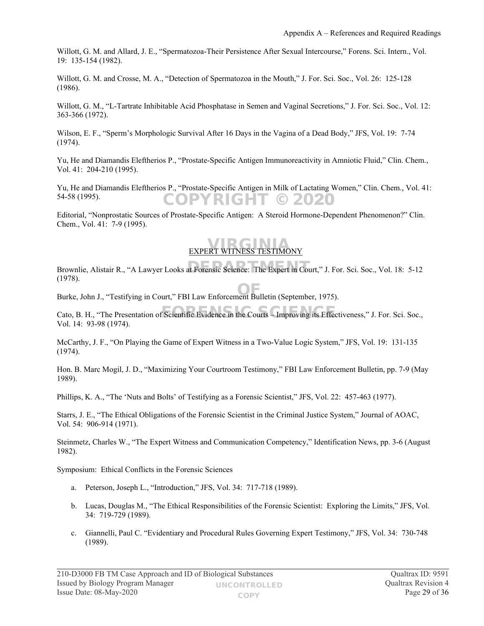Willott, G. M. and Allard, J. E., "Spermatozoa-Their Persistence After Sexual Intercourse," Forens. Sci. Intern., Vol. 19: 135-154 (1982).

Willott, G. M. and Crosse, M. A., "Detection of Spermatozoa in the Mouth," J. For. Sci. Soc., Vol. 26: 125-128 (1986).

Willott, G. M., "L-Tartrate Inhibitable Acid Phosphatase in Semen and Vaginal Secretions," J. For. Sci. Soc., Vol. 12: 363-366 (1972).

Wilson, E. F., "Sperm's Morphologic Survival After 16 Days in the Vagina of a Dead Body," JFS, Vol. 19: 7-74 (1974).

Yu, He and Diamandis Eleftherios P., "Prostate-Specific Antigen Immunoreactivity in Amniotic Fluid," Clin. Chem., Vol. 41: 204-210 (1995).

Yu, He and Diamandis Eleftherios P., "Prostate-Specific Antigen in Milk of Lactating Women," Clin. Chem., Vol. 41: 54-58 (1995). COPYRIGHT © 2020

Editorial, "Nonprostatic Sources of Prostate-Specific Antigen: A Steroid Hormone-Dependent Phenomenon?" Clin. Chem., Vol. 41: 7-9 (1995).

## **EXPERT WITNESS TESTIMONY**

Brownlie, Alistair R., "A Lawyer Looks at Forensic Science: The Expert in Court," J. For. Sci. Soc., Vol. 18: 5-12 (1978).

Burke, John J., "Testifying in Court," FBI Law Enforcement Bulletin (September, 1975). OF

Cato, B. H., "The Presentation of Scientific Evidence in the Courts - Improving its Effectiveness," J. For. Sci. Soc., Vol. 14: 93-98 (1974).

McCarthy, J. F., "On Playing the Game of Expert Witness in a Two-Value Logic System," JFS, Vol. 19: 131-135 (1974).

Hon. B. Marc Mogil, J. D., "Maximizing Your Courtroom Testimony," FBI Law Enforcement Bulletin, pp. 7-9 (May 1989).

Phillips, K. A., "The 'Nuts and Bolts' of Testifying as a Forensic Scientist," JFS, Vol. 22: 457-463 (1977).

Starrs, J. E., "The Ethical Obligations of the Forensic Scientist in the Criminal Justice System," Journal of AOAC, Vol. 54: 906-914 (1971).

Steinmetz, Charles W., "The Expert Witness and Communication Competency," Identification News, pp. 3-6 (August 1982).

Symposium: Ethical Conflicts in the Forensic Sciences

- a. Peterson, Joseph L., "Introduction," JFS, Vol. 34: 717-718 (1989).
- b. Lucas, Douglas M., "The Ethical Responsibilities of the Forensic Scientist: Exploring the Limits," JFS, Vol. 34: 719-729 (1989).
- c. Giannelli, Paul C. "Evidentiary and Procedural Rules Governing Expert Testimony," JFS, Vol. 34: 730-748 (1989).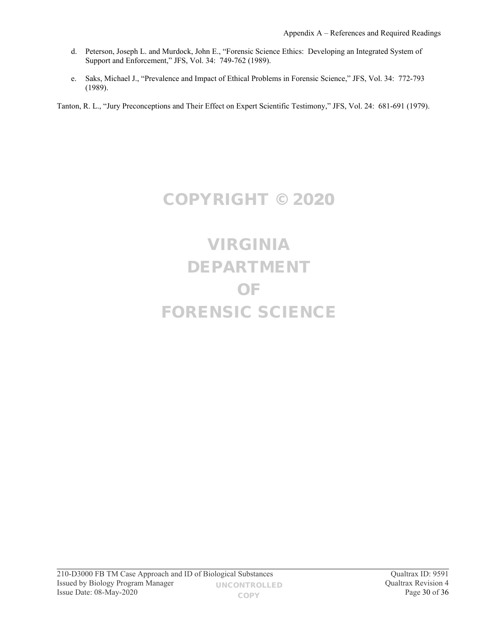- d. Peterson, Joseph L. and Murdock, John E., "Forensic Science Ethics: Developing an Integrated System of Support and Enforcement," JFS, Vol. 34: 749-762 (1989).
- e. Saks, Michael J., "Prevalence and Impact of Ethical Problems in Forensic Science," JFS, Vol. 34: 772-793 (1989).

Tanton, R. L., "Jury Preconceptions and Their Effect on Expert Scientific Testimony," JFS, Vol. 24: 681-691 (1979).

### COPYRIGHT © 2020

# VIRGINIA DEPARTMENT OF FORENSIC SCIENCE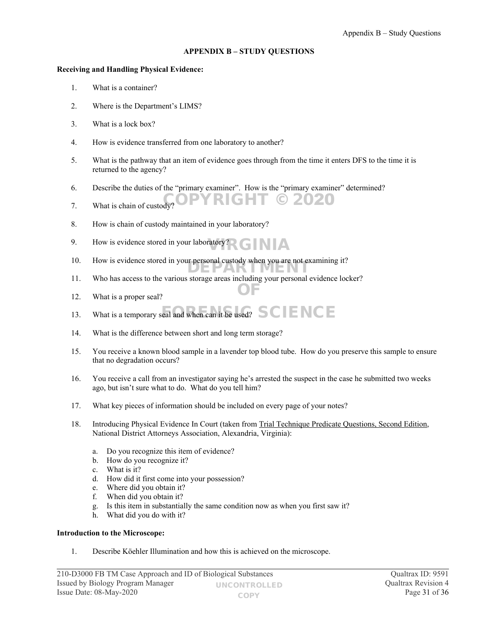#### <span id="page-30-0"></span>**APPENDIX B – STUDY QUESTIONS**

#### **Receiving and Handling Physical Evidence:**

- 1. What is a container?
- 2. Where is the Department's LIMS?
- 3. What is a lock box?
- 4. How is evidence transferred from one laboratory to another?
- 5. What is the pathway that an item of evidence goes through from the time it enters DFS to the time it is returned to the agency?

RIGHT © 2020

- 6. Describe the duties of the "primary examiner". How is the "primary examiner" determined?
- 7. What is chain of custody?
- 8. How is chain of custody maintained in your laboratory?
- 9. How is evidence stored in your laboratory? VIRGINIA
- 10. How is evidence stored in your personal custody when you are not examining it?
- 11. Who has access to the various storage areas including your personal evidence locker? OF
- 12. What is a proper seal?
- 13. What is a temporary seal and when can it be used?  $SCENCE$
- 14. What is the difference between short and long term storage?
- 15. You receive a known blood sample in a lavender top blood tube. How do you preserve this sample to ensure that no degradation occurs?
- 16. You receive a call from an investigator saying he's arrested the suspect in the case he submitted two weeks ago, but isn't sure what to do. What do you tell him?
- 17. What key pieces of information should be included on every page of your notes?
- 18. Introducing Physical Evidence In Court (taken from Trial Technique Predicate Questions, Second Edition, National District Attorneys Association, Alexandria, Virginia):
	- a. Do you recognize this item of evidence?
	- b. How do you recognize it?
	- c. What is it?
	- d. How did it first come into your possession?
	- e. Where did you obtain it?
	- f. When did you obtain it?
	- g. Is this item in substantially the same condition now as when you first saw it?
	- h. What did you do with it?

#### **Introduction to the Microscope:**

1. Describe Köehler Illumination and how this is achieved on the microscope.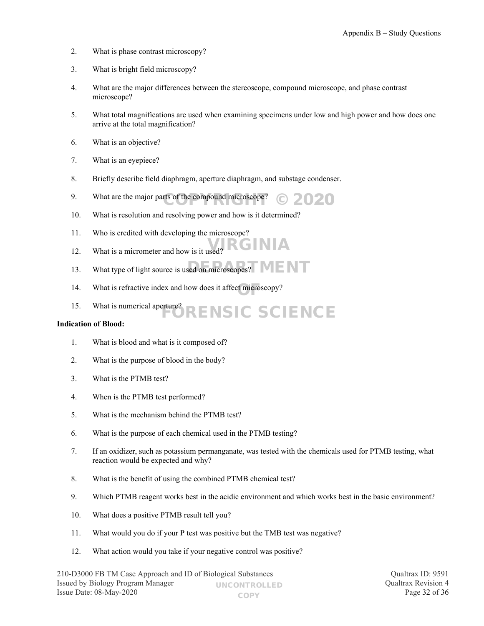- 2. What is phase contrast microscopy?
- 3. What is bright field microscopy?
- 4. What are the major differences between the stereoscope, compound microscope, and phase contrast microscope?
- 5. What total magnifications are used when examining specimens under low and high power and how does one arrive at the total magnification?
- 6. What is an objective?
- 7. What is an eyepiece?
- 8. Briefly describe field diaphragm, aperture diaphragm, and substage condenser.
- 9. What are the major parts of the compound microscope?  $\odot$  2020
- 10. What is resolution and resolving power and how is it determined?
- 11. Who is credited with developing the microscope?
- 12. What is a micrometer and how is it used? VIRGINIA
- 13. What type of light source is used on microscopes?
- 14. What is refractive index and how does it affect microscopy?
- 15. What is numerical aperture?<br>
FORENSIC SCIENCE

#### **Indication of Blood:**

- 1. What is blood and what is it composed of?
- 2. What is the purpose of blood in the body?
- 3. What is the PTMB test?
- 4. When is the PTMB test performed?
- 5. What is the mechanism behind the PTMB test?
- 6. What is the purpose of each chemical used in the PTMB testing?
- 7. If an oxidizer, such as potassium permanganate, was tested with the chemicals used for PTMB testing, what reaction would be expected and why?
- 8. What is the benefit of using the combined PTMB chemical test?
- 9. Which PTMB reagent works best in the acidic environment and which works best in the basic environment?
- 10. What does a positive PTMB result tell you?
- 11. What would you do if your P test was positive but the TMB test was negative?
- 12. What action would you take if your negative control was positive?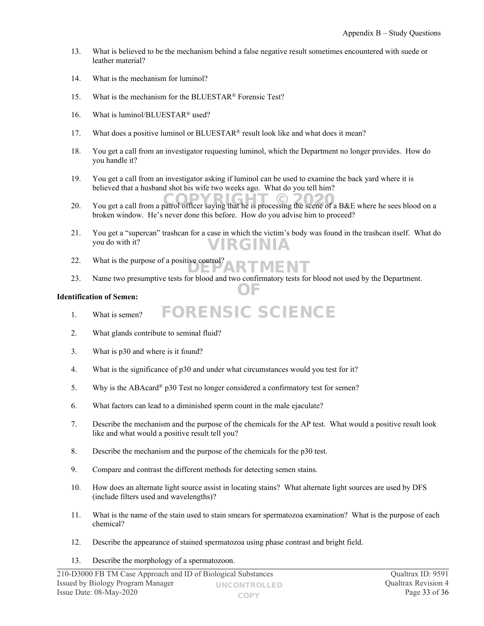- 13. What is believed to be the mechanism behind a false negative result sometimes encountered with suede or leather material?
- 14. What is the mechanism for luminol?
- 15. What is the mechanism for the BLUESTAR® Forensic Test?
- 16. What is luminol/BLUESTAR® used?
- 17. What does a positive luminol or BLUESTAR® result look like and what does it mean?
- 18. You get a call from an investigator requesting luminol, which the Department no longer provides. How do you handle it?
- 19. You get a call from an investigator asking if luminol can be used to examine the back yard where it is believed that a husband shot his wife two weeks ago. What do you tell him?
- 20. You get a call from a patrol officer saying that he is processing the scene of a B&E where he sees blood on a broken window. He's never done this before. How do you advise him to proceed?
- 21. You get a "supercan" trashcan for a case in which the victim's body was found in the trashcan itself. What do you do with it? VIRGINIA
- 22. What is the purpose of a positive control? DEPARTMENT
- 23. Name two presumptive tests for blood and two confirmatory tests for blood not used by the Department. OF

FORENSIC SCIENCE

#### **Identification of Semen:**

- 1. What is semen?
- 2. What glands contribute to seminal fluid?
- 3. What is p30 and where is it found?
- 4. What is the significance of p30 and under what circumstances would you test for it?
- 5. Why is the ABAcard® p30 Test no longer considered a confirmatory test for semen?
- 6. What factors can lead to a diminished sperm count in the male ejaculate?
- 7. Describe the mechanism and the purpose of the chemicals for the AP test. What would a positive result look like and what would a positive result tell you?
- 8. Describe the mechanism and the purpose of the chemicals for the p30 test.
- 9. Compare and contrast the different methods for detecting semen stains.
- 10. How does an alternate light source assist in locating stains? What alternate light sources are used by DFS (include filters used and wavelengths)?
- 11. What is the name of the stain used to stain smears for spermatozoa examination? What is the purpose of each chemical?
- 12. Describe the appearance of stained spermatozoa using phase contrast and bright field.
- 13. Describe the morphology of a spermatozoon.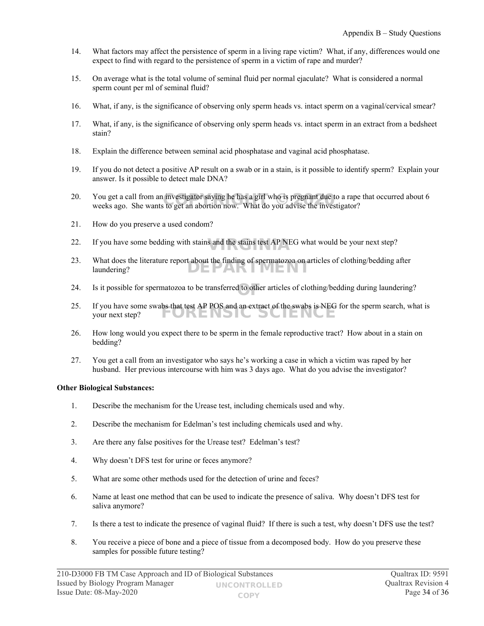- 14. What factors may affect the persistence of sperm in a living rape victim? What, if any, differences would one expect to find with regard to the persistence of sperm in a victim of rape and murder?
- 15. On average what is the total volume of seminal fluid per normal ejaculate? What is considered a normal sperm count per ml of seminal fluid?
- 16. What, if any, is the significance of observing only sperm heads vs. intact sperm on a vaginal/cervical smear?
- 17. What, if any, is the significance of observing only sperm heads vs. intact sperm in an extract from a bedsheet stain?
- 18. Explain the difference between seminal acid phosphatase and vaginal acid phosphatase.
- 19. If you do not detect a positive AP result on a swab or in a stain, is it possible to identify sperm? Explain your answer. Is it possible to detect male DNA?
- 20. You get a call from an investigator saying he has a girl who is pregnant due to a rape that occurred about 6 weeks ago. She wants to get an abortion now. What do you advise the investigator? weeks ago. She wants to get an abortion now. What do you advise the investigator?
- 21. How do you preserve a used condom?
- 22. If you have some bedding with stains and the stains test AP NEG what would be your next step?
- 23. What does the literature report about the finding of spermatozoa on articles of clothing/bedding after laundering? DEPARTMEN
- 24. Is it possible for spermatozoa to be transferred to other articles of clothing/bedding during laundering?
- 25. If you have some swabs that test AP POS and an extract of the swabs is NEG for the sperm search, what is your next step? URENSIC SCIENCE
- 26. How long would you expect there to be sperm in the female reproductive tract? How about in a stain on bedding?
- 27. You get a call from an investigator who says he's working a case in which a victim was raped by her husband. Her previous intercourse with him was 3 days ago. What do you advise the investigator?

#### **Other Biological Substances:**

- 1. Describe the mechanism for the Urease test, including chemicals used and why.
- 2. Describe the mechanism for Edelman's test including chemicals used and why.
- 3. Are there any false positives for the Urease test? Edelman's test?
- 4. Why doesn't DFS test for urine or feces anymore?
- 5. What are some other methods used for the detection of urine and feces?
- 6. Name at least one method that can be used to indicate the presence of saliva. Why doesn't DFS test for saliva anymore?
- 7. Is there a test to indicate the presence of vaginal fluid? If there is such a test, why doesn't DFS use the test?
- 8. You receive a piece of bone and a piece of tissue from a decomposed body. How do you preserve these samples for possible future testing?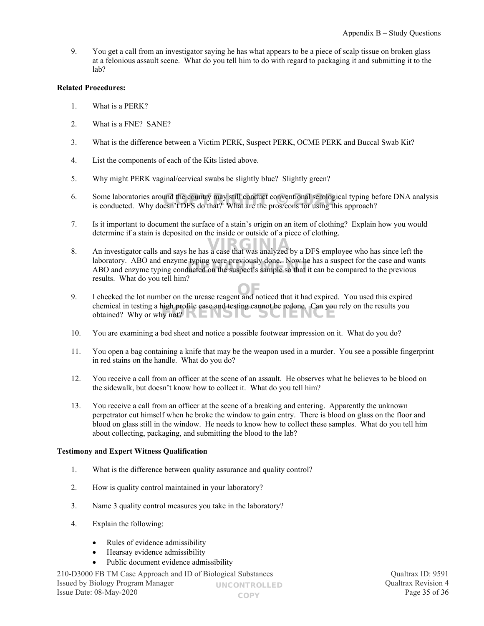9. You get a call from an investigator saying he has what appears to be a piece of scalp tissue on broken glass at a felonious assault scene. What do you tell him to do with regard to packaging it and submitting it to the lab?

#### **Related Procedures:**

- 1. What is a PERK?
- 2. What is a FNE? SANE?
- 3. What is the difference between a Victim PERK, Suspect PERK, OCME PERK and Buccal Swab Kit?
- 4. List the components of each of the Kits listed above.
- 5. Why might PERK vaginal/cervical swabs be slightly blue? Slightly green?
- 6. Some laboratories around the country may still conduct conventional serological typing before DNA analysis Some laboratories around the country may still conduct conventional serological typing be is conducted. Why doesn't DFS do that? What are the pros/cons for using this approach?
- 7. Is it important to document the surface of a stain's origin on an item of clothing? Explain how you would determine if a stain is deposited on the inside or outside of a piece of clothing.
- 8. An investigator calls and says he has a case that was analyzed by a DFS employee who has since left the laboratory. ABO and enzyme typing were previously done. Now he has a suspect for the case and wants ABO and enzyme typing were previously done. Now he has a suspect for the case and wandplaced and enzyme typing conducted on the suspect's sample so that it can be compared to the previous results. What do you tell him?
- 9. I checked the lot number on the urease reagent and noticed that it had expired. You used this expired OF chemical in testing a high profile case and testing cannot be redone. Can you rely on the results you chemical in testing a high profile case and testing cannot be redone. Can you
- 10. You are examining a bed sheet and notice a possible footwear impression on it. What do you do?
- 11. You open a bag containing a knife that may be the weapon used in a murder. You see a possible fingerprint in red stains on the handle. What do you do?
- 12. You receive a call from an officer at the scene of an assault. He observes what he believes to be blood on the sidewalk, but doesn't know how to collect it. What do you tell him?
- 13. You receive a call from an officer at the scene of a breaking and entering. Apparently the unknown perpetrator cut himself when he broke the window to gain entry. There is blood on glass on the floor and blood on glass still in the window. He needs to know how to collect these samples. What do you tell him about collecting, packaging, and submitting the blood to the lab?

#### **Testimony and Expert Witness Qualification**

- 1. What is the difference between quality assurance and quality control?
- 2. How is quality control maintained in your laboratory?
- 3. Name 3 quality control measures you take in the laboratory?
- 4. Explain the following:
	- Rules of evidence admissibility
	- Hearsay evidence admissibility
	- Public document evidence admissibility